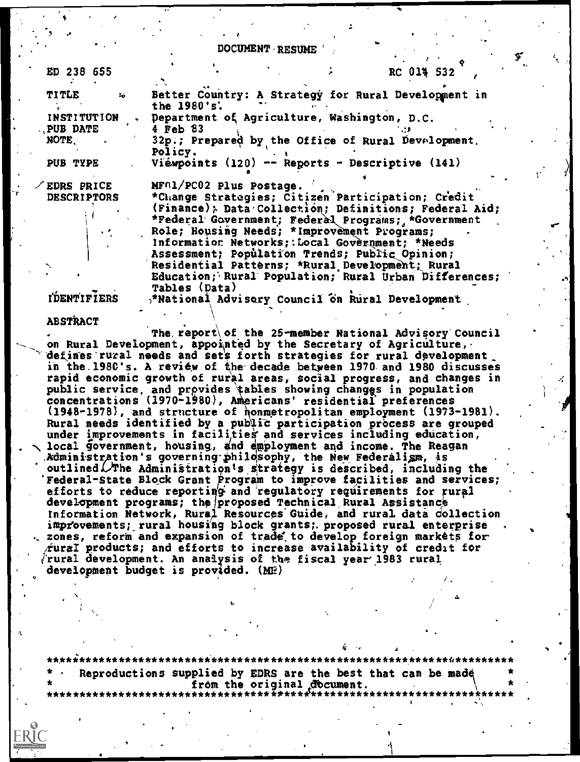DOCUMENT RESUME

ED 238 655

TITLE

**NOTE** 

RC 014 532

Better Country: A Strategy for Rural Development in the 1980's'. Department of Agriculture, Washington, D.C. **INSTITUTION PUB DATE**  $4$  Feb  $33$ 32p.; Prepared by the Office of Rural Development. Policy. PUB TYPE Viewpoints  $(120)$  -- Reports - Descriptive  $(141)$ 

EDRS PRICE **DESCRIPTORS** 

MF01/PC02 Plus Postage. \*Change Strategies; Citizen Participation; Credit  $(Finance)$ ; Data Collection; Definitions; Federal Aid; \*Federal Government; Federal Programs; \*Government Role; Housing Needs; \*Improvement Programs; Information Networks; Local Government; \*Needs Assessment; Population Trends; Public Opinion; Residential Patterns; \*Rural Development; Rural Education; Rural Population; Rural Urban Differences; **Tables (Data)** \*National Advisory Council on Rural Development

**IDENTIFIERS** 

**ABSTRACT** 

The report of the 25-member National Advisory Council on Rural Development, appointed by the Secretary of Agriculture, defines rural needs and sets forth strategies for rural development in the 1980's. A review of the decade between 1970 and 1980 discusses rapid economic growth of rural areas, social progress, and changes in public service, and provides tables showing changes in population concentrations (1970-1980), Americans' residential preferences (1948-1978), and structure of nonmetropolitan employment (1973-1981). Rural needs identified by a public participation process are grouped under improvements in facilities and services including education, local government, housing, and employment and income. The Reagan Administration's governing philosophy, the New Federalism, is outlined  $\mathcal{N}$ The Administration's strategy is described, including the Federal-State Block Grant Program to improve facilities and services; efforts to reduce reporting and regulatory requirements for rural development programs; the proposed Technical Rural Assistance<br>Information Network, Rural Resources Guide, and rural data collection improvements; rural housing block grants; proposed rural enterprise zones, reform and expansion of trade to develop foreign markets for  $\angle$ ural products; and efforts to increase availability of credit for rural development. An analysis of the fiscal year 1983 rural development budget is provided. (ME)

Reproductions supplied by EDRS are the best that can be made from the original document.<br>\*\*\*\*\*\*\*\*\*\*\*\*\*\*\*\*\*\*\*\*\*\*\*\*\*\*\*\*\*\*\*\*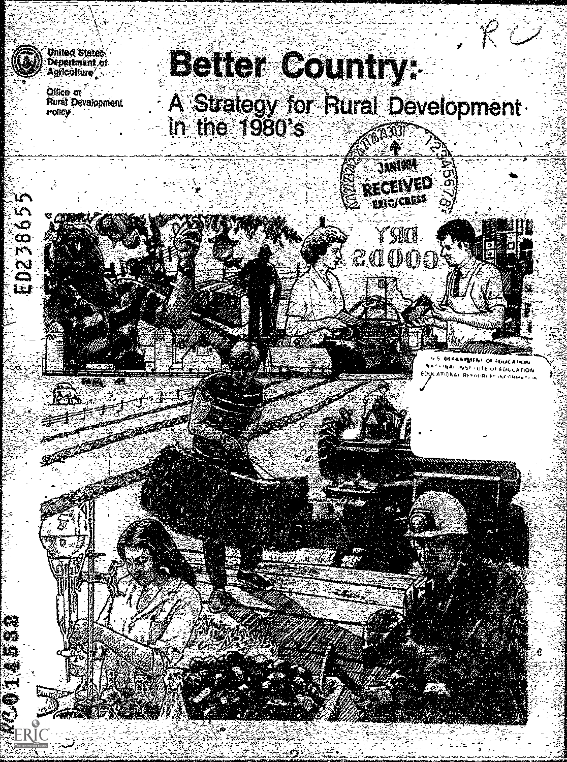

u٣

ED23865

Ģ ₩á ÎŞ się  $\ddot{\mathbf{r}}$ 

**EC.O** 



Office of<br>Rurat Development **Policy** 

# **Better Country:**

A Strategy for Rural Development<br>In the 1980's

JANES. RECEIVED **FAIC/CRESS** 

YMI

ZAOOE



**EDUCATION ATION**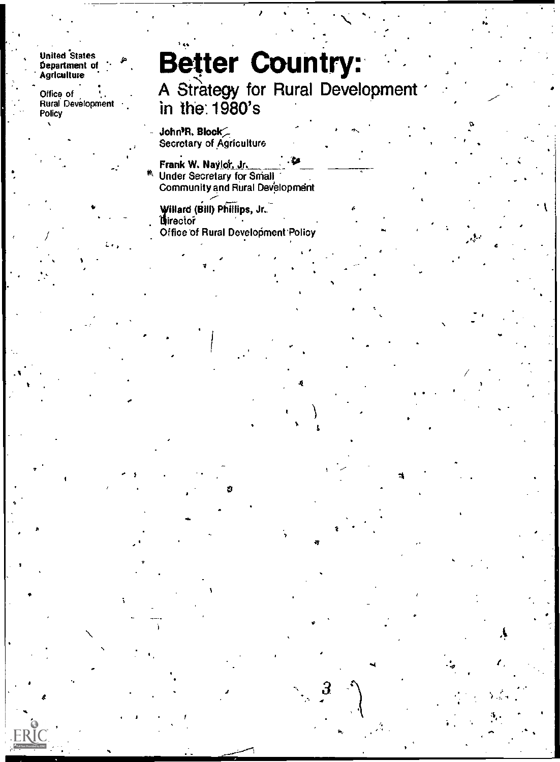#### United States <sub>4</sub>, Department of **Agriculture**

. Office of Rural Development **Policy** 

 $\mathbf{r}$ 

version and the second second in the second second second in the second second second in the second second second in  $\mathcal{L}_1$ 

 $\epsilon$  and  $\epsilon$ 

## \*1. Better Country: A Strategy for Rural Development

Let  $\mathcal{A}$  be a set of the contribution of the contribution of the contribution of the contribution of the contribution of the contribution of the contribution of the contribution of the contribution of the contribution

E)

#.

## in the:1980's

John)R. Block;-. Secretary of Agriculture

t and the contract of  $\mathbf{A}$  and  $\mathbf{A}$  and  $\mathbf{A}$  and  $\mathbf{A}$  and  $\mathbf{A}$ 

Frank W. Naylot Jr, <sup>411</sup> <sup>■</sup> Under Secretary for Small Community and Rural Development

Willard (Bill) Phillips, Jr.. Office of Rural Development Policy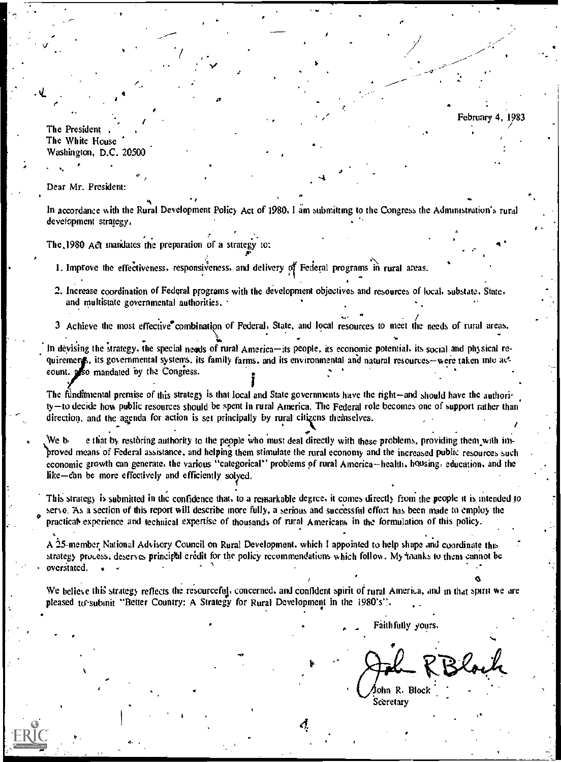February 4, 1983

The President The White House Washington, D.C. 20500

 $\bullet$  and  $\bullet$ 

Dear Mr. President:

s.

In accordance with the Rural Development Policy Act of 1980, I am submitting to the Congress the Administration's rural development strategy.

The, 1980 Act mandates the preparation of a strategy to:

1. Improve the effectiveness, responsiveness, and delivery of Federal programs in rural areas.

ti and the second second second second second second second second second second second second second second second second second second second second second second second second second second second second second second s

- 2. Increase coordination of Federal programs with the development objectives and resources of local, substate. State, and multistate governmental authorities.
- $\mathbf{r}$  , and  $\mathbf{r}$  , and  $\mathbf{r}$  , and  $\mathbf{r}$  , and  $\mathbf{r}$  , and  $\mathbf{r}$  , and  $\mathbf{r}$  , and  $\mathbf{r}$  , and  $\mathbf{r}$  , and  $\mathbf{r}$  , and  $\mathbf{r}$  , and  $\mathbf{r}$  , and  $\mathbf{r}$  , and  $\mathbf{r}$  , and  $\mathbf{r}$  , 3 Achieve the most effective combination of Federal, State, and local resources to meet the needs of rural areas.

In devising the strategy, the special needs of rural America-its people, its economic potential, its social and physical requirements, its governmental systems, its family farms, and its environmental and natural resources—were taken into action into action of the Congress. count. also mandated by the Congress.

I The fundamental premise of this strategy is that local and State governments have the right—and should have the authori $t<sub>y</sub>$  to decide how public resources should be spent in rural America. The Federal role becomes one of support rather than direction, and the agenda for action is set principally by rural citizens themselves.

We b e that by restoring authority to the people who must deal directly with these problems, providing them with imbroved means of Federal assistance, and helping them stimulate the rural economy and the increased public resources such economic growth can generate, the various "categorical" problems of rural America-health, housing, education, and the like-can be more effectively and efficiently solved.

This strategy is submitted in the confidence that, to a remarkable degree, it comes directly from the people it is intended to practical experience and technical expertise of thousands of rural Americans in the formulation of this policy. servo. As a section of this report will describe more fully, a serious and successful effort has been made to employ the

A '25-member. National Advisory Council on Rural Development. which I appointed to help shape and coordinate this strategy process, deserves principti credit for the policy recommendations which follow. My 'blanks to them cannot be overstated. . .

We believe this strategy reflects the resourceful, concerned, and confident spirit of rural America, and in that spirit we are pleased to submit "Better Country: A Strategy for Rural Development in the  $1980's$ ". .

Faithfully yours,

ohn R, Block **Secretary** 

 $\boldsymbol{A}$  and  $\boldsymbol{A}$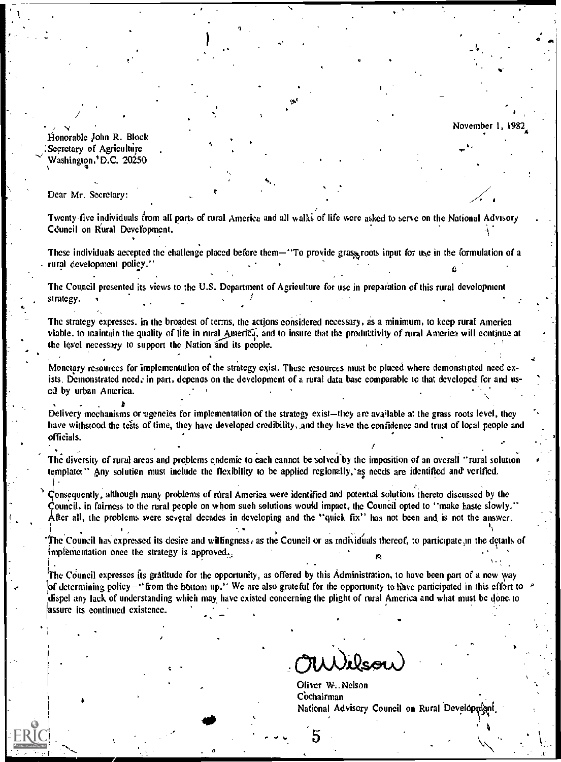$^4$  all

<del>n</del> Maria a S

 $\mathscr{A}_{\bullet}$  . The set of  $\mathscr{A}_{\bullet}$  $\sim$  and a set of  $\sim$ 

.

...

 $\begin{array}{ccc} & & & & & \mathbf{1}_{6} & \mathbf{1}_{6} & \mathbf{1}_{7} & \mathbf{1}_{8} & \mathbf{1}_{9} & \mathbf{1}_{9} & \mathbf{1}_{9} & \mathbf{1}_{9} & \mathbf{1}_{9} & \mathbf{1}_{9} & \mathbf{1}_{9} & \mathbf{1}_{9} & \mathbf{1}_{9} & \mathbf{1}_{9} & \mathbf{1}_{9} & \mathbf{1}_{9} & \mathbf{1}_{9} & \mathbf{1}_{9} & \mathbf{1}_{9} & \mathbf{1}_{9} & \mathbf{1}_{9} & \mathbf{1}_{9} & \mathbf{1}_{9} & \$ 

ficinorable John R. Block Secretary of Agriculture ' Washington,'D.C. 20250

11**1** 

 $\mathcal{P}^{(1)}$  and  $\mathcal{P}^{(2)}$ 

.

)

 $\mathbf{A}$ 

..

.

Dear Mr. Secretary:

.,

 $\ddot{\phantom{1}}$ 

.--..,\_

I

i

1

.

e

.

Twenty-five individuals from all parts of rural America and all walki of life were asked to serve on the National Advisory Council on Rural Develbpment.

These individuals accepted the challenge placed before them—"To provide grass roots input for use in the formulation of a rural development policy."

The Council presented its views to the U.S. Department of Agriculture for use in preparation of this rural development strategy. In the contract of  $\mathcal{L}$  . In the contract of  $\mathcal{L}$  , we are the contract of  $\mathcal{L}$ . .. , where the contribution of the contribution of the contribution of the contribution of the contribution of the contribution of the contribution of the contribution of the contribution of the contribution of the contribut

. The strategy expresses. in thc broadest of terms, the actions considered necessary, as a minimum, to keep rural America viable, to maintain the quality of life in rural America, and to insure that the productivity of rural America will continue at the level necessary to support the Nation and its people.

Monetary resources for implementation of the strategy exist. These resources must be placed where demonstrated need exists. Demonstrated need,- in part, depenas on the development of a rural data base comparable to that developed for and used by urban America. , . . -, . The contract of the contract of  $\mathcal{N}_\text{c}$ 

. The set of  $\mathbf{B}$  is a set of  $\mathbf{B}$  is a set of  $\mathbf{B}$  is a set of  $\mathbf{B}$  is a set of  $\mathbf{B}$  is a set of  $\mathbf{B}$  is a set of  $\mathbf{B}$  is a set of  $\mathbf{B}$  is a set of  $\mathbf{B}$  is a set of  $\mathbf{B}$  is a set o Delivery mechanisms or agencies for implementation of the strategy exist—they are available at the grass roots level, they have withstood the tests of time, they have developed credibility, and they have the confidence and trust of local people and officials. efficials. The contract of the contract of the contract of the contract of the contract of the contract of the<br>The contract of the contract of the contract of the contract of the contract of the contract of the contract o

The diversity of rural areas and problems endemic to each cannot be solved by the imposition of an overall "rural solution" . . . templates" Any solution must include the flexibility to be applied regionally, as needs are identified and verified.

 $\dot{\mathcal{C}}$ onsequently, although many problems of rural America were identified and potential solutions thereto discussed by the Council, in fairness to the rural people on whom such solutions would impact, the Council opted to "make haste slowly." After all, the problems were several decades in developing and the "quick fix" has not been and is not the answer.

 $1$  is a constant of the constant of the constant of the constant of the constant of the constant of the constant of the constant of the constant of the constant of the constant of the constant of the constant of the cons If the Council has expressed its desire and willingness, as the Council or as individuals thereof, to participate in the details of implementation once the strategy is approved. 1 , and the contract of  $\mathbb{A}$  and  $\mathbb{A}$  and  $\mathbb{A}$ 

The Council expresses its gratitude for the opportunity, as offered by this Administration, to have been part of a new way of determining policy-"from the bottom up." We are also grateful for the opportunity to have participated in this effort to dispel any lack of understanding which may have existed concerning the plight of rural America and what must be done to 'assure its continued existence.

..1

5

. "The contract of the contract of the contract of

Oliver W. Nelson Cochairman National Advisory Council on Rural Develop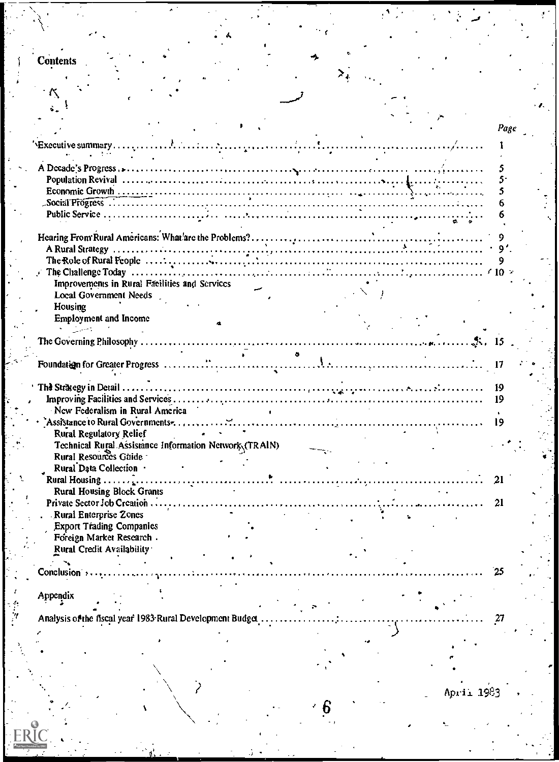| <b>Contents</b>                                                                 |  |      |
|---------------------------------------------------------------------------------|--|------|
|                                                                                 |  |      |
|                                                                                 |  |      |
|                                                                                 |  |      |
|                                                                                 |  |      |
|                                                                                 |  |      |
|                                                                                 |  |      |
|                                                                                 |  |      |
|                                                                                 |  | Page |
|                                                                                 |  |      |
|                                                                                 |  |      |
|                                                                                 |  |      |
|                                                                                 |  |      |
|                                                                                 |  |      |
|                                                                                 |  |      |
|                                                                                 |  |      |
|                                                                                 |  |      |
|                                                                                 |  |      |
|                                                                                 |  |      |
|                                                                                 |  |      |
|                                                                                 |  |      |
|                                                                                 |  |      |
|                                                                                 |  |      |
|                                                                                 |  |      |
| Improvements in Rural Facilities and Services                                   |  |      |
| <b>Local Government Needs</b>                                                   |  |      |
|                                                                                 |  |      |
| Housing                                                                         |  |      |
| <b>Employment and Income</b>                                                    |  |      |
| $\mathbf{A} = \mathbf{A} \mathbf{A}$                                            |  |      |
|                                                                                 |  |      |
|                                                                                 |  |      |
|                                                                                 |  |      |
|                                                                                 |  |      |
|                                                                                 |  |      |
|                                                                                 |  |      |
|                                                                                 |  |      |
|                                                                                 |  | 19   |
|                                                                                 |  | 19   |
| New Federalism in Rural America                                                 |  |      |
|                                                                                 |  | 19   |
|                                                                                 |  |      |
| Rural Regulatory Relief                                                         |  |      |
|                                                                                 |  |      |
| Technical Rural Assistance Information Network (TRAIN)<br>Rural Resources Guide |  |      |
|                                                                                 |  |      |
| Rural Data Collection .                                                         |  |      |
| Rural Housing $\ldots$                                                          |  | 21   |
| <b>Rural Housing Block Grants</b>                                               |  |      |
| Private Sector Job Creation                                                     |  | 21   |
| <b>Rural Enterprise Zones</b>                                                   |  |      |
|                                                                                 |  |      |
| <b>Export Trading Companies</b>                                                 |  |      |
| Foreign Market Research .                                                       |  |      |
| Rural Credit Availability                                                       |  |      |
|                                                                                 |  |      |
|                                                                                 |  |      |
| Conclusion :                                                                    |  |      |
|                                                                                 |  |      |
| Appendix                                                                        |  |      |
|                                                                                 |  |      |
|                                                                                 |  |      |
| Analysis of the fiscal year 1983 Rural Development Budget                       |  |      |
|                                                                                 |  |      |
|                                                                                 |  |      |
|                                                                                 |  |      |
|                                                                                 |  |      |
|                                                                                 |  |      |
|                                                                                 |  |      |

 $6\overline{6}$ 

ERIC

 $\mathcal{F}$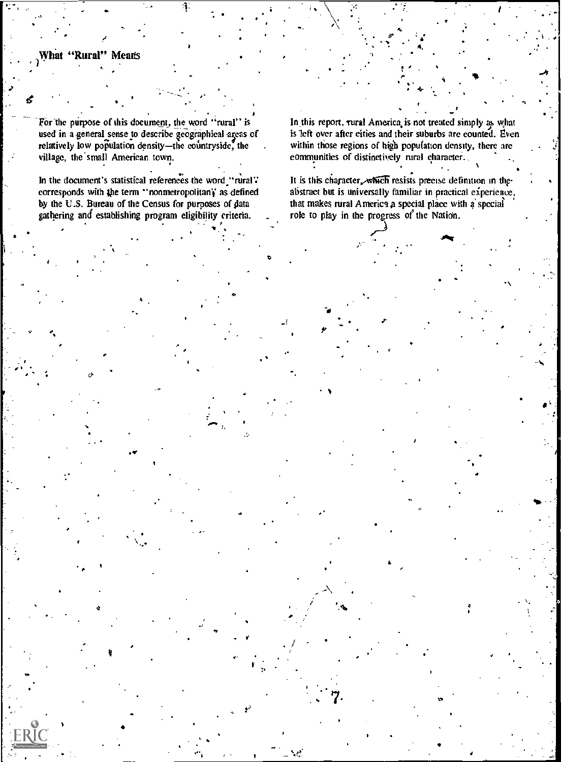#### What "Rural" Means

For the purpose of this document, the word "rural" is used in a general sense to describe geographical areas of relatively low population density-the countryside, the village, the small American town.

In the document's statistical references the word "rural" corresponds with the term "nonmetropolitan's as defined<br>by the U.S. Bureau of the Census for purposes of data gathering and establishing program eligibility criteria.

In this report, rural America is not treated simply as what is left over after cities and their suburbs are counted. Even within those regions of high population density, there are communities of distinctively rural character.

It is this character, which resists precise definition in theabstract but is universally familiar in practical experience, that makes rural America a special place with a special role to play in the progress of the Nation.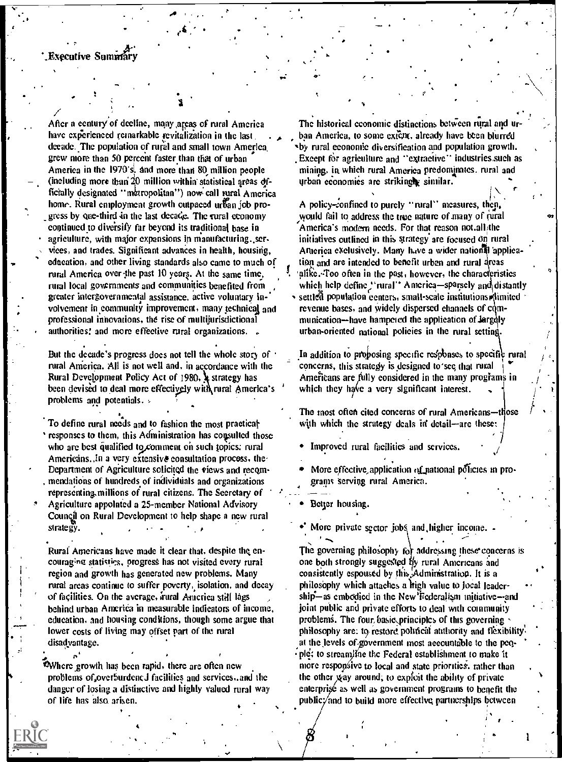After a century of deeline, many areas of rural America have experienced remarkable revitalization in the last decade. The population of rural and small town America grew more than 50 percent faster than that of urban America in the 1970's, and more than 80 million people (including more than 20 million within statistical areas officially designated "metropolitan") now call rural America home. Rural employment growth outpaced urban job progress by one-third in the last decade. The rural economy continued to diversify far beyond its traditional base in agriculture, with major expansions in manufacturing, services, and trades. Significant advances in health, housing, education, and other living standards also came to much of rural America over the past 10 years. At the same time, rural local governments and communities benefited from greater intergovernmental assistance, active voluntary involvement in community improvement, many technical and professional innovations, the rise of multijurisdictional authorities! and more effective rural organizations. .

But the decade's progress does not tell the whole story of rural America. All is not well and, in accordance with the Rural Development Policy Act of 1980, 4 strategy has been devised to deal more effectively with rural America's problems and potentials. »

To define rural needs and to fashion the most praetical responses to them, this Administration has consulted those who are best qualified to comment on such topics: rural Americans. In a very extensive consultation process, the Department of Agriculture solicited the views and recommendations of hundreds of individuals and organizations representing millions of rural citizens. The Secretary of Agriculture appointed a 25-member National Advisory Council on Rural Development to help shape a new rural strategy.

Rural Americans have made it clear that, despite the encouraging statistics, progress has not visited every rural region and growth has generated new problems. Many rural areas continue to suffer poverty, isolation, and decay of facilities. On the average, irural America still lags behind urban America in measurable indicators of income, education, and housing conditions, though some argue that lower costs of living may offset part of the rural disadvantage.

Where growth has been rapid, there are often new problems of overburdened facilities and services, and the danger of losing a distinctive and highly valued rural way of life has also arisen.

The historical economic distinctions between rural and u ban America, to some extent, already have been blurred by rural economic diversification and population growth. Except for agriculture and "extractive" industries such as mining, in which rural America predominates, rural and urban economics are strikingly similar.

A policy-confined to purely "rural" measures, then, would fail to address the true nature of many of rural America's modern needs. For that reason not all the initiatives outlined in this strategy are focused on rural Afterica exclusively. Many have a wider national application and are intended to benefit urban and rural areas alike. Too often in the past, however, the characteristics which help define "rural" America-sparsely and distantly · settled population centers, small-scale institutions limited revenue bases, and widely dispersed channels of communication-have hampered the application of largely urban-oriented national policies in the rural setting.

In addition to proposing specific responses to specific rural concerns, this strategy is designed to see that rural Americans are fully considered in the many programs in which they have a very significant interest.

The most often cited concerns of rural Americans—those with which the strategy deals in detail-are these:

Improved rural facilities and services.

More effective application of national policies in programs serving rural America.

Better housing.

More private sector jobs and higher income. -

The governing philosophy for addressing these concerns is one both strongly suggested by rural Americans and consistently espoused by this Administration. It is a philosophy which attaches a frigh value to local leadership—as embodied in the New Federalism initiative—and joint public and private efforts to deal with community problems. The four basic principles of this governing philosophy are: to restore political attitionty and flexibility. at the levels of government most accountable to the peqple: to streamline the Federal establishment to make it more responsive to local and state priorities, rather than the other way around, to exploit the ability of private enterprisé as well as government programs to benefit the publicy and to build more effective partnerships between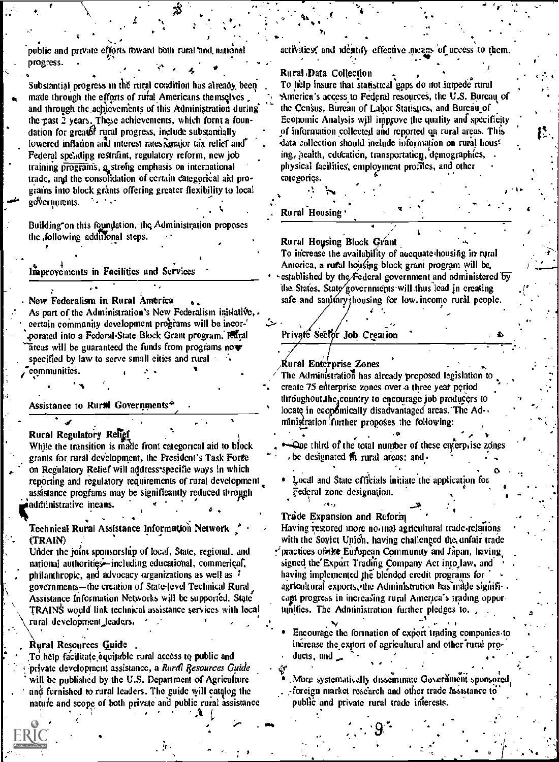public and private efforts toward both rural and national progress.

Substantial progress in the rural condition has already been made through the efforts of rufal Americans themselves and through the achievements of this Administration during the past 2 years. These achievements, which fornt a foundation for greater rural progress, include substantially lowered inflation and interest rates, major tax relief and Federal spending restraint, regulatory reform, new job training programs, a strong emphasis on international trade, and the consolidation of certain categorical aid prograins into block grants offering greater flexibility to local goVernments.

Building on this foundation, the Administration proposes the following additional steps.

Improvements in Facilities and Services

New Federalism in Rural America As part of the Administration's New Federalism initiative, eertain community development programs will be incorporated into a Federal-State Block Grant program. Rural areas will be guaranteed the funds from programs now specified by law to serve small cities and rural . communities.

Assistance to Rural Governments<sup>+</sup>

Rural Regulatory Relief While the transition is made front categorical aid to block grants for rural development, the President's Task Force on Regulatory Relief will address specific ways in which reporting and regulatory requirements of rural development assistance programs may be significantly reduced through administrative means.

Technical Rural Assistance Information Network (TRAIN)

Under the joint sponsorship of local, State, regional, and national authorities—including educational, commerical, philanthropic, and advocacy organizations as well as  $\ddot{i}$ governments-the creation of State-level Technical Rural Assistance Information Networks will be supported. State TRAINS would link technical assistance services with local rural development leaders.

Rural Resources Guide To help facilitate equitable rural access to public and private development assistance, a Rural Resources Guide will be published by the U.S. Department of Agriculture and furnished to rural leaders. The guide will catalog the nature and scope of both private and public rural assistance activities, and identify effective means of access to them.

Rural Data Collection

To help insure that statistical gaps do not inneed rural America's access to Federal resources, the U.S. Bureau of the Census, Bureau of Labor Statistics, and Bureau of Economic Analysis will improve the quality and specificity of information collected and reported on rural areas. This data collection should include information on rural housing, health, education, transportation, demographics, physical facilities, employment profiles, and other categories.

Rural Housing

Rural Housing Block Grant

To increase the availability of accquate housing in rural America, a rural housing block grant program will be, established by the Federal government and administered by the States. State governments will thus lead in creating safe and sanifary housing for low income rural people.

Privaté Sector Job Creation

Rural Enterprise Zones The Administration has already proposed legislation to create 75 enterprise zones over a three year period throughout, the country to encourage job producers to locate in ecopomically disadvantaged areas. The Ad-ministration further proposes the following:

. One third of the total number of these enterprise zones be designated  $f_1$  rural areas; and  $\cdot$ 

Local and State officials initiate the application for Federal zone designation.

Trade Expansion and Reform Having restored more no mal agricultural trade-relations with the Sovict Union, having challenged the unfair trade \* practices of the European Community and Japan, having signed the Export Trading Company Act into law, and having implemented the blended eredit programs for agricultural exports, the Administration has made significapt progress in increasing rural America's trading opportunifies. The Administration further pledges to.

Encourage the formation of export trading companies to increase the export of agricultural and other rural products, and  $\overline{\phantom{a}}$ 

More systematically disseminate Government-sponsored, -foreign market research and other trade assistance to public and private rural trade interests.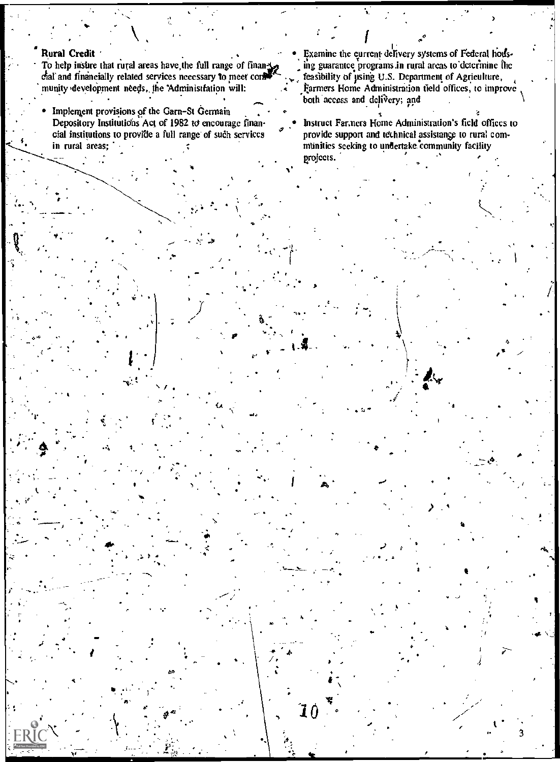#### **Rural Credit**

- To help insure that rural areas have the full range of financhal and financially related services necessary to meet control munity development needs, the Administration will:
- Implement provisions of the Garn-St Germain Depository Institutions Act of 1982 to encourage financial institutions to provide a full range of such services in rural areas;
- Examine the eurrent delivery systems of Federal housing guarantee programs in rural areas to determine the feasibility of using U.S. Department of Agriculture, Farmers Home Administration tield offices, to improve both access and delivery; and
- Instruct Farmers Home Administration's field offices to provide support and technical assistance to rural communities seeking to undertake community facility projects.

 $\mathbf{I}0$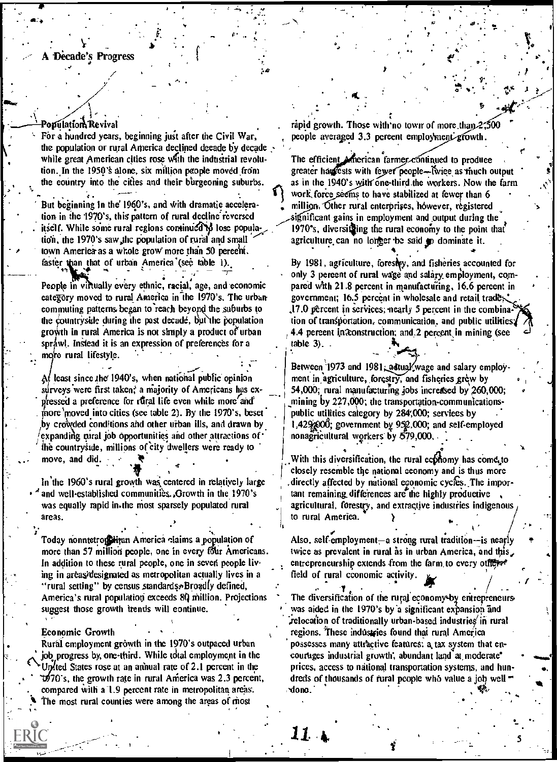#### A Decade's Progress

#### Population Revival

For a hundred years, beginning just after the Civil War, the population or rural America declined decade by decade while great American cities rose with the industrial revolution. In the 1950's alone, six million people moved from the country into the cities and their burgeoning suburbs.

But beginning in the 1960's, and with dramatic aeceleration in the 1970's, this pattern of rural deeline reversed itself. While some rural regions continued to lose population, the 1970's saw the population of rural and small town America as a whole grow more than 50 percent. faster than that of urban America (see table 1).

People in virtually every ethnic, racial, age, and economic eategory moved to rural America in the 1970's. The urbancommuting patterns began to reach beyond the suburbs to the countryside during the past decade, but the population growth in rural America is not simply a product of urban sprawl. Instead it is an expression of preferences for a more rural lifestyle.

At least since the 1940's, when national public opinion surveys were first taken, a majority of Americans has expressed a preference for rural life even while more and more moved into cities (see table 2). By the 1970's, beset by crowded conditions and other urban ills, and drawn by expanding rural job opportunities and other attractions of the countryside, millions of city dwellers were ready to move, and did. -

In the 1960's rural growth was centered in relatively large and well-established communities. Growth in the 1970's was equally rapid in the most sparsely populated rural areas.

Today nonntetroginizan America claims a population of more than 57 million people, one in every four Americans. In addition to these rural people, one in seven people living in areas/designated as metropolitan actually lives in a "rural setting" by census standards. Broadly defined, America's rural population exceeds 80 million. Projections suggest those growth trends will continue.

#### **Economic Growth**

Rural employment gròwth in the 1970's outpaced urban job progress by, one-third. While total employment in the United States rose at an annual rate of 2.1 percent in the  $1070$ 's, the growth rate in rural America was 2.3 percent, compared with a 1.9 percent rate in metropolitan areas. The most rural counties were among the areas of most

rapid growth. Those with no town of more than  $2,500$ people averaged 3.3 percent employment growth.

The efficient American farmer continued to produce greater has ests with fewer people-fwice as much output as in the 1940's with one-third the workers. Now the farm work force seems to have stabilized at fewer than 6 million. Other rural enterprises, however, registered significant gains in employment and output during the 1970's, diversiting the rural economy to the point that agriculture can no lorger be said to dominate it.

By 1981, agriculture, forestry, and fisheries accounted for only 3 percent of rural wage and salary employment, compared with 21.8 percent in manufacturing, 16.6 percent in government; 16.5 percent in wholesale and retail trades. ,17.0 percent in services; nearly 5 percent in the combination of transportation, communication, and public utilities; 4.4 percent in tonstruction; and 2 percent in mining (see table 3). .

Between 1973 and 1981, adtual wage and salary employment in agriculture, forestry, and fisheries grew by 54,000; rural manufacturing jobs increased by 260,000; mining by 227,000; the transportation-communicationspublic utilities category by 284,000; services by 1,429,800; government by 952,000; and self-employed nonagricultural workers by 579,000,.

With this diversification, the rural economy has come to closely resemble the national economy and is thus more directly affected by national economic cycles. The important remaining differences are the highly productive agricultural, forestry, and extractive industries indigenous to rural America.

Also, self-employment-a strong rural tradition-is nearly twice as prevalent in rural as in urban America, and this entrepreneurship extends from the farm to every others field of rural cconomic activity.

The diversification of the rural economy-by entrepreneurs was aided in the 1970's by a significant expansion and relocation of traditionally urban-based industries in rural regions. These industries found that rural America possesses many attractive features: a tax system that encourages industrial growth, abundant land at moderate\* prices, access to national transportation systems, and hundreds of thousands of rural people who value a job well done.

11.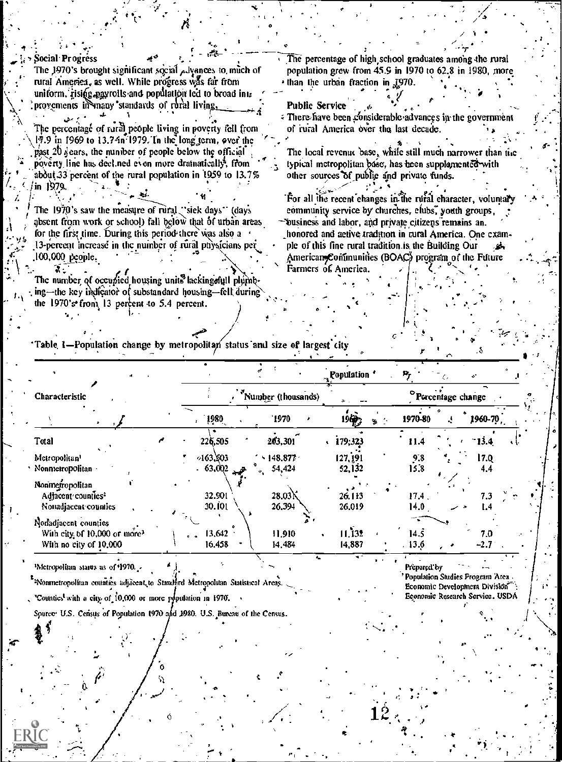Social Progréss The percentage of high school graduates among the rural The 1970's brought significant social Advances to much of population grew from 45.9 in 1970 to 62.8 in 1980, more rural America, as well. While progress was far from than the urban fraction in 1970. uniform, rising approils and population led to broad int. provements in many standards of rural living. **Public Service** There have been considerable advances in the government The percentage of rural people living in poverty fell from of rural America over the last decade. 19.9 in 1969 to 13.74n 1979. In the long term, over the past 20 years, the number of people below the official The local revenue base, while still much narrower than the poverty line has deel ned even more dramatically, from typical metropolitan base, has been supplamented with about 33 percent of the rural population in 1959 to 13.7% other sources of public and private funds. in 1979. For all the recent changes in the rural character, voluntary The 1970's saw the measure of rural "siek days" (days community service by churches, elubs, youth groups, absent from work or school) fall below that of urban areas business and labor, and private citizens remains an. for the first time. During this period there was also a honored and active tradition in rural America. One exam-13-percent increase in the number of rural physicians per ple of this fine rural tradition is the Building Our 100,000 people. American Conimunities (BOAC) program of the Future Farmers of America. The number of occupied housing units lacking full plumbing—the key indicator of substandard housing—fell during the 1970's from  $13$  percent to 5.4 percent.

Table 1-Population change by metropolitan status and size of largest city

|                                                                                            |                      |                                          | $\mathbb{R}^{\text{Population}}$ | Р,                             |               |
|--------------------------------------------------------------------------------------------|----------------------|------------------------------------------|----------------------------------|--------------------------------|---------------|
| <b>Characteristic</b>                                                                      |                      | Number (thousands)                       |                                  | <sup>o</sup> Porcentage change |               |
|                                                                                            | 1980                 | 1970                                     | 196.3                            | 1970-80<br>÷                   | 1960-70       |
| Total                                                                                      | 226,505              | 263,301                                  | 179,323                          | 11.4                           | $-13.4$       |
| Metropolitan <sup>1</sup><br>Nonmetropolitan                                               | 463,503<br>$-63,002$ | $\cdot$ 148.877 $\cdot$<br>54,424<br>جهد | 127, 191<br>52,132               | 9.8<br>15.8                    | 17.0<br>4.4   |
| Nonmetropolitan<br>Adjacent counties <sup>2</sup><br>Nonadjacent counties                  | 32.901<br>30.101     | 28.03<br>26.394                          | 26.113<br>26.019                 | $17.4$ .<br>14.0               | 7.3<br>I.4    |
| Nonadjacent counties<br>With city of 10,000 or more <sup>3</sup><br>With no city of 10,000 | 13,642<br>16.458     | 11,910<br>14,484                         | 11,132<br>14,887                 | 14.5<br>.13.6                  | 7.0<br>$-2.7$ |

<sup>1</sup>Metropolitan status as of 1970. <sup>2</sup><sup>2</sup>Nonmetropolitan counties adjacent to Standard Metropolitan Statistical Areas.

"Counties with a city of 10,000 or more population in 1970.

Spurce: U.S. Census of Population 1970 and 1980. U.S. Bureau of the Census.

Prepared by ' Population Studies Program Area Economic Development Division

Economic Research Service, USDA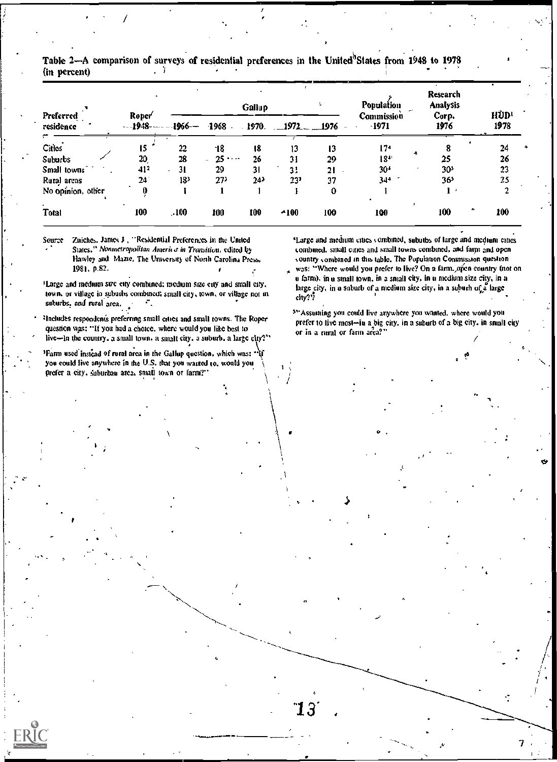|                        |                                        |                 |                                    | Gallup  |              |         | <b>Population</b>   | <b>Research</b><br>Analysis |              |
|------------------------|----------------------------------------|-----------------|------------------------------------|---------|--------------|---------|---------------------|-----------------------------|--------------|
| Preferred<br>residence | Roper <sup>2</sup><br>$$ <b>1948</b> - | -1966--         | $-1968$                            | $-1970$ | $-1972$      | $-1976$ | Commission<br>-1971 | Corp.<br>1976               | HÙD!<br>1978 |
| Cities                 | 15                                     | 22              | -18                                | 18      | 13           | 13      | $17+$               |                             | 24           |
| Suburbs                | 20                                     | 28              | $25 -$<br>$\overline{\phantom{0}}$ | 26      | 31           | 29      | 18"                 | A<br>25                     | 26           |
| Small towns            | 41 <sup>2</sup>                        | 31              | 29                                 | 31      | 31           | 21      | 30 <sup>4</sup>     | 305                         | 23           |
| Rural areas            | 24                                     | 13 <sup>3</sup> | 27)                                | 24)     | $23^{\circ}$ | 37      | $34+$               | 365                         | 25           |
| No opinion, other      |                                        |                 |                                    |         |              | 0       |                     |                             |              |
| <b>Total</b>           | 100                                    | .100            | 100                                | 100     | $-100$       | 100     | 100                 | ۰<br>100                    | 100          |

Table 2—A comparison of surveys of residential preferences in the United<sup>8</sup>States from 1948 to 1978  $\sim$  1 (in percent)

Zuiches, James J., "Residential Preferences in the United Source States," Nonmetropolitan America in Transition, edited by Hawley and Mazie. The University of North Carolina Press. 1981, p.82.

(Large and medium size city combined; medium size city and small city, town, or village in suburbs combined; small city, town, or village not in suburbs, and rural area. ÷.

<sup>2</sup>Includes respondents preferring small cities and small rowns. The Roper question was: "If you had a choice, where would you like best to live-in the country, a small town, a small city, a suburb, a large city?"

<sup>3</sup>Parm used instead of roral area in the Gallup question, which was: you could live anywhere in the U.S. that you wanted to, would you prefer a city, suburban area, small town or farm?"

'Large and medium cities combined, subutbs of large and medium cities combined, small cities and small towns combined, and farm and open country combined in this table. The Population Commission question was: "Where would you prefer to live? On a farm. open country (not on

u fatm), in a small town, in a small city, in a medium size city, in a large city, in a suburb of a medium size city, in a suburh of a large city??

55 Assuming you could live anywhere you wanted, where would you prefer to live most-in a big city, in a suburb of a big city, in small city or in a rural or farm area?"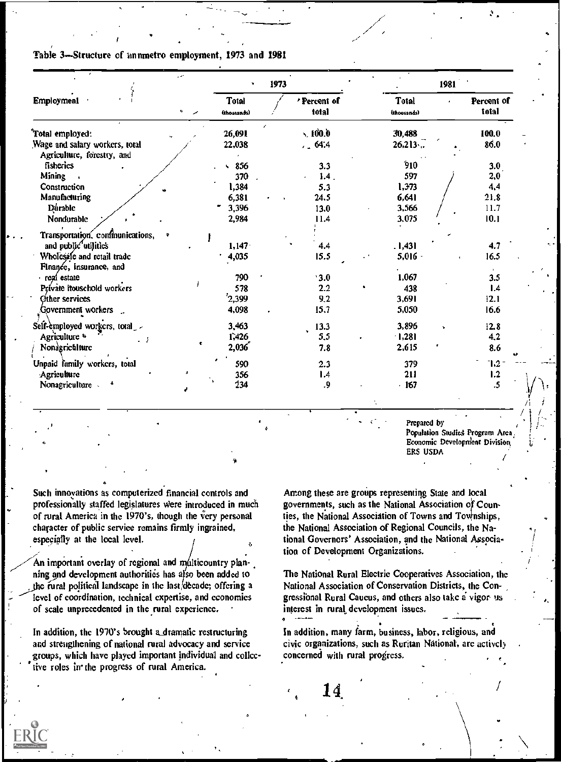#### Table 3-Structure of innmetro employment, 1973 and 1981

|                                                              |    |                             | 1973                 |                                   | 1981 |                     |
|--------------------------------------------------------------|----|-----------------------------|----------------------|-----------------------------------|------|---------------------|
| <b>Employment</b>                                            | r, | <b>Total</b><br>(thousands) | 'Percent of<br>total | <b>Total</b><br>×.<br>(thousands) |      | Percent of<br>total |
| 'Total employed:                                             |    | 26,091                      | z.<br>$\times 100.0$ | 30,488                            |      | 100.0               |
| Wage and salary workers, total<br>Agriculture, forestry, and |    | 22,038                      | 1.64.4               | 26.213                            |      | 86.0                |
| fisherics                                                    |    | $\frac{856}{ }$             | 3.3                  | 910                               |      | 3.0                 |
| Mining                                                       |    | 370                         | 1.4.                 | 597                               |      | 2,0                 |
| Construction                                                 |    | 1,384                       | 5.3                  | 1,373                             |      | 4,4                 |
| Manufacturing                                                |    | 6,381                       | 24.5                 | 6,641                             |      | 21.8                |
| Dúrable                                                      |    | 3,396                       | 13.0                 | 3,566                             |      | 11.7                |
| Nondurable                                                   |    | 2,984                       | 11.4                 | 3,075                             |      | 10.1                |
| Transportation. confinunications,                            |    |                             |                      |                                   |      |                     |
| and public utilities                                         |    | 1,147                       | 4.4                  | . 1,431                           |      | 4.7                 |
| Wholesale and retail trade<br>Finance, insurance, and        |    | 4,035                       | 15.5                 | $5,016 -$                         |      | 16.5                |
| real estate                                                  |    | 790                         | 3.0                  | 1,067                             |      | 3.5                 |
| Private itouschold workers                                   |    | 578                         | 2.2                  | 438                               |      | 1.4                 |
| Other services                                               |    | 2,399                       | 9.2                  | 3,691                             |      | 12.1                |
| Government workers                                           |    | 4,098                       | 15.7                 | 5,050                             |      | 16.6                |
| Self-employed workers, total_                                |    | 3,463                       | 13.3                 | 3,896                             |      | 12.8                |
| Agriculture <sup>a</sup><br>. .                              |    | 1,426                       | 5,5                  | (1,28)                            |      | 4.2                 |
| Nonagriculture                                               | ¢. | 2,036'                      | 7.8                  | 2,615                             |      | 8.6                 |
| Unpaid family workers, total                                 |    | 590                         | 2.3                  | 379                               |      | 1.2                 |
| Agriculture                                                  |    | 356                         | 1.4                  | 211                               |      | 1.2                 |
| Nonagriculture<br>ė                                          |    | 234                         | .9                   | $-167$                            |      | .5                  |

Prepared by Population Studies Program Area Economic Development Division ERS USDA

Such innovations as computerized financial controls and professionally staffed legislatures were introduced in much of rural America in the 1970's, though the very personal character of public service remains firmly ingrained, especially at the local level.

An important overlay of regional and multicountry planning and development authorities has also been added to the rural political landscape in the last decade; offering a level of coordination, technical expertise, and economies of scale unprecedented in the rural experience.

In addition, the 1970's brought a dramatic restructuring and strengthening of national rural advocacy and service groups, which have played important individual and collective roles in the progress of rural America.

Among these are groups representing State and local governments, such as the National Association of Counties, the National Association of Towns and Townships, the National Association of Regional Councils, the National Governors' Association, and the National Association of Development Organizations.

The National Rural Electric Cooperatives Association, the National Association of Conservation Districts, the Congressional Rural Caucus, and others also take a vigor us interest in rural development issues.

In addition, many farm, business, labor, religious, and civic organizations, such as Ruritan National, are actively concerned with rural progress.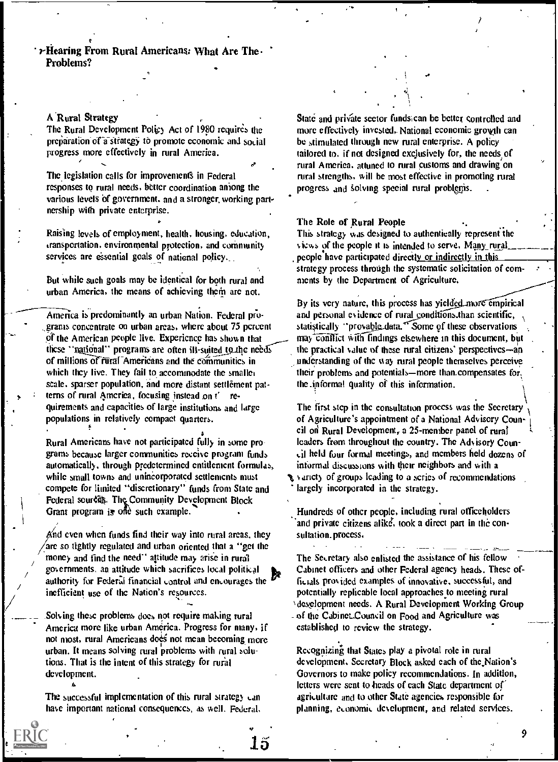$\mathcal{F}$ Hearing From Rural Americans: What Are The Problems?

#### A Rural Strategy

The Rural Development Policy Act of 1980 requires the preparation of a strategy to promote economic and social progress more effectively in rural America.

The legislation calls for improvements in Federal responses to rural needs, better coordination among the various levels of government, and a stronger, working partnership with private enterprise.

Raising levels of employment, health, housing, education, transportation, environmental protection, and community services are essential goals of national policy.

But while such goals may be identical for both rural and urban America, the means of achieving them are not.

America is predominantly an urban Nation. Federal progranis concentrate on urban areas, where about 75 percent Ot the American people live. Experience has shown that these "national" programs are often ill-suited to the needs of millions of rural Americans and the communities in which they live. They fail to accommodate the smaller scale, sparser population, and more distant settlement pat terns of rural America, focusing instead on t' requirements and capacities of large institutions and large populations in relatively compact quarters.

Rural Americans have not participated fully in some programs because larger communities receive program funds automatically. through predetermined entitlement formulas, while small towns and unincorporated settlements must compete for limited "discretionary" funds from State and Federal sources. The Community Development Block Grant program is one such example.

and<br>/nd even when funds find their way into rural areas, they sulare so tightly regulated and urban oriented that a "get the money and find the need" attitude may arise in rural governments, an attitude which sacrifices local political authority for Federal financial control and encourages the inefficient use of the Nation's resources.

.Solving these problems does not require making rural America more like urban America. Progress for many, if not most, rural Americans does not mean becoming more urban. It means solving rural problems with rural solutions. That is the intent of this strategy for rural development. A

The successful implementation of this rural strategy can have important national consequences, as well. Federal, State and private sector fundstican be better controlled and more effectively invested.. National economic growth can be stimulated through new rural enterprise. A policy tailored to, if not designed exclusively for, the needs of rural America, attuned to rural customs and drawing on rural strengths, will be most effective in promoting rural progress and solving special rural problems.

 $\mathcal{I} = \{ \mathcal{I} \}$ 

#### The Role of Rural People

This strategy was designed to authentically represent the views of the people it is intended to serve. Many rural people have participated directly or indirectly in this strategy process through the systematic solicitation of comments by the Department of Agriculture.

By its very nature, this process has yielded more empirical and personal evidence of rural conditions than scientific, statistically "provable data." Some of these observations may conflict with findings elsewhere in this document, but the practical value of these rural citizens' perspectives-an understanding of the way rural people themselves perceive their problems and potentials—more than.compensates for. the .informal quality of this information.

 $\setminus$ The first step in the consultation process was the Secretary of Agriculture's appointment of a National Advisory Council on Rural Development, a 25-member panel of rural leaders from throughout the country. The Advisory Council held four formal meetings, and members held dozens of informal discussions with their neighbors and with a varidy of groups leading to a series of recommendations largely incorporated in the strategy.

Hundreds of other people, including rural officeholders and private citizens alike, took a direct part in the consultation. process.

The Secretary also enlisted the assistance of his fellow Cabinet officers and other Federal agency heads. These officials provided examples of innovative, successful, and potentially replicabte local approaches to meeting rural %development needs. A Rural Development Working Group - of the Cabinet\_Council on Food and Agriculture was established to review the strategy.

Recognizing that States play a pivotal role in rural development, Secretary Block asked each of the,Nation's Governors to make policy recommendations. In addition, letters were sent to heads of each State department of agriculture and to other State agencies responsible for planning, economic development, and related services.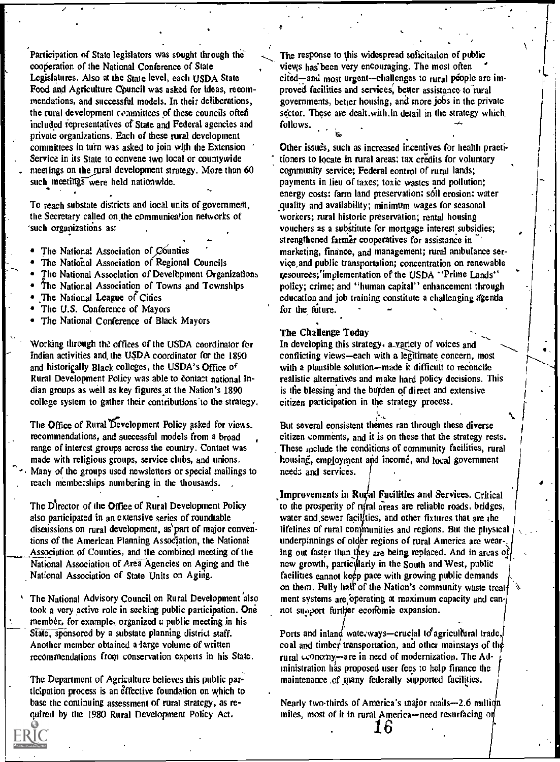Participation of State legislators was sought through the cooperation of the National Conference of State Legislatures. Also at the State level, each USDA State Food and Agriculture Council was asked for ideas, recommendations, and successful models. In their deliberations, the rural development committees of these councils often included representatives of State and Federal agencies and private organizations. Each of these rural development committees in turn was asked to join with the Extension Service in its State to convene two local or countywide meetings on the rural development strategy. More than 60 such meetings were held nationwide.

To reach substate districts and local units of government, the Secretary called on,the communiea'ion networks of such organizations as:

- The National Association of Counties
- The National Association of Regional Councils
- The National Association of Develbpment Organizations
- The National Association of Towns and Townships
- The National League of Cities
- The U.S. Conference of Mayors
- The National Conference of Black Mayors

Working through the offices of the USDA coordinator for In developing this strategy, a variety of voices and Indian activities and, the USDA coordinator for the 1890 and historically Black colleges, the USDA's Office of Rural Development Policy was able to contact national Indian groups as well as key figures at the Nation's 1890 college system to gather their contributions'to the strategy.

The Office of Rural Development Policy asked for views. recommendations, and successful models from a broad range of interest groups across the country. Contact was made with religious groups, service clubs, and unions. Many of the groups used newsletters or special mailings to reach memberships numbering in the thousands. .

The Director of the Office of Rural Development Policy also participated in an extensive series of roundtable discussions on rural development, as'part of major conventions of the American Planning Association, the National Association of Counties, and the combined meeting of the National Association of Area Agencies on Aging and the National Association of State Units on Agiiig.

The National Advisory Council on Rural Development also took a very active role in seeking public participation. One member., for example, organized a public meeting in his State, sponsored by a substate planning district staff. Another member obtained a large volume of written recommendations from conservation experts in his State.

The Department of Agriculture believes this public particlpation process is an effective foundation on which to base the continuing assessment of rural strategy, as required by the 1980 Rural Development Policy Act.

 $\mathbf{u}$ 

The response to this widespread solicitation of public views has been very encouraging. The most often cited—and most urgent—challenges to rural people are improved facilities and services, better assistance to rural governments, better housing, and more jobs in the private sector. These are dealt, with in detail in the strategy which follows.

Other issue's, such as increased incentives for health praeti tioners to locate in rural areas; tax credits for voluntary community service; Federal control of rural lands; payments in lieu of taxes; toxic wastcs and pollution; energy costs; farm land preservation; sóil erosion; water equality and availability; minimum wages for seasonal workers; rural historic preservation; rental housing vouchers as a substitute for mortgage interest subsidies; strengthened farmer cooperatives for assistance in marketing, finance, and management; rural ambulance service,and public transportation; concentration on renewable ;esources;'implementation of the USDA "Prime Lands" policy; crime; and "human capital" enhancement through education and job training constitute a challenging agenda for the future.

#### The Challenge Today

conflicting views-each with a legitimate concern, most with a plausible solution--made it difficult to reconcile realistic alternatives and make hard policy decisions. This is the blessing and the burden of direct and extensive citizen participation in the strategy process.

But several consistent themes ran through these diverse citizen comments, and it is on these that the strategy rests. These include the conditions of community facilities, rural housing, employment and income, and local government needs and services.

.

1

 $\mathcal{L}=\mathcal{L}$ 

Improvements in Rural Facilities and Services. Critical to the prosperity of rural areas are reliable roads, bridges, water and sewer facilities, and other fixtures that are the lifelines of rural communities and regions. But the physical underpinnings of older regions of rural America are wearing out faster than they are being replaced. And in areas of new growth, particularly in the South and West, public facilities cannot keep pace with growing public demands on them. Fully half of the Nation's community waste treatment systems are bperating at maximum capacity and cannot sunport furtifer economie expansion.

Ports and inland wate, ways—crucial to agricultural trade, coal and timber transportation, and other mainstays of the rural  $\omega$ onomy-are in need of modernization. The Administration has proposed user fees to help finance the maintenance of many federally supported facilities.

Nearly two-thirds of America's major roads $-2.6$  million miles, most of it in rural America-need resurfacing on 16'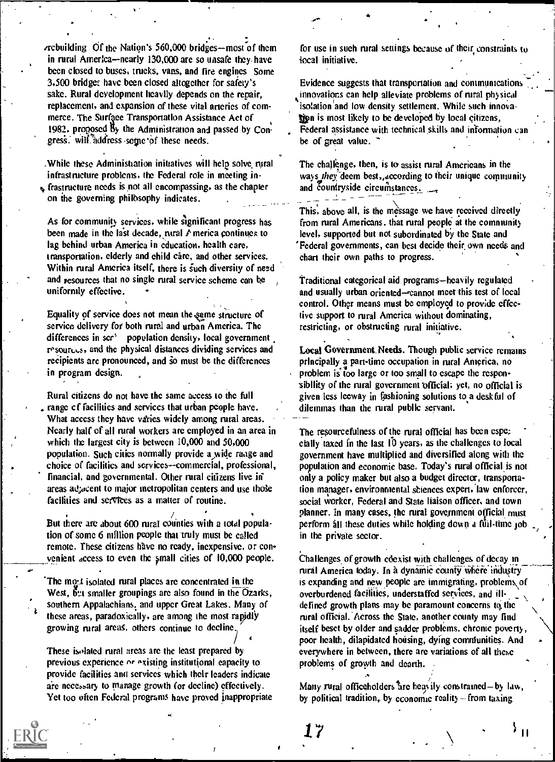$r$ rebuilding Of the Nation's 560,000 bridges—most of them in rural America--nearly 130,000 are so unsafe they have been closed to buses, trucks, vans, and fire engines Some 3,500 bridge; have been closed altogether for safety's sake. Rural development heavily depends on the repair, replacement, and expansion of these vital arteries of commerce. The Surface Transportation Assistance Act of 1982, proposed  $\ddot{b}_y$  the Administration and passed by Congress. will address some of these needs.

\_While these Administration initiatives will help solve rural infrastructure problems, the Federal role in meeting in- $\epsilon$  frastructure needs is not all encompassing, as the chapter

on the governing philosophy indicates.

As for community services, while significant progress has been made in the last decade, rural  $\triangle$  merica continues to lag behind urban America in education, health care, transportation, elderly and child care, and other services. Within rural America itself, there is such diversity of need and resources that no single rural service scheme can he uniformly effective.  $\mathcal{F}^{\text{max}}$ 

Equality of service does not mean the same structure of service delivery for both rural and urban America. The differences in  $scr'$  population density, local government resources, and the physical distances dividing services and recipients are pronounced, and so must be the differences in program design.

Rural citizens do not have the same access to the full range cf facilities and services that urban people have. What access they have varies widely among rural areas. Nearly half of all rural workers are employed in an area in which the largest city is between 10,000 and 50,000 population. Such cities normally provide a wide raage and choice of facilities and services-commercial, professional, financial, and governmental. Other rural citizens live in areas adjacent to major inctropolitan centers and use those facilities and services as a matter of routine.

/ But there are about 600 rural counties with a total popula-. tion of some 6 million people that 'truly must be called remote. These citizens have no ready, inexpensive, or con- \_\_\_venient access to even the mall cities of 10,000 people. .

The most isolated rural places are concentrated in the West,  $6\mu$  smaller groupings are also found in the Ozarks, southern Appalachians, and upper Great Lakes. Many of these areas, paradoxically, are among the most rapidly growing rural areas, others continue to decline,

....

 $\sqrt{2}$ These isolated rural areas are the least prepared by previous experience or existing institutional capacity to provide facilities and services which their leaders indicate are necessary to manage growth (or decline) effectively. Yet too often Federal programs have proved inappropriate

for use in such rural settings because of their constraints to local initiative.

Evidence suggests that transportation and communications A isolation and low density settlement. While such innovainnovations can help alleviate problems of rural physical tion is most likely to be developed by local citizens, Federal assistance with technical skills and information can be of great value.

,

The challenge, then, is to assist rural Americans in the ways they deem best, according to their unique community The challenge, then, is to assist rural Americans in the ways *they* deem best, according to their unique community and countryside circumstances.

 $\overline{T}$  -  $\overline{T}$  -  $\overline{T}$  -  $\overline{T}$  -  $\overline{T}$  is the message we have received directly from rural Americans. that rural people at the community level, supported but not subordinated by the State and 'Federal governments, can best decide their own needs and chart their own paths to progress.

Traditional categorical aid programs-heavily regulated and usually urban oriented--cannot meet this test of local control. Other means must be employed to provide effective support to rural America without dominating, restricting, or obstructing rural initiative.

Local Government. Needs. Though public service remains principally a part-time occupation in rural America, no problem is too large or too small to escape the responsibility of the rural government official; yet, no official is given less leeway in fashioning solutions to a desk ful of dilemmas than the rural public servant.

The resourcefulness of the rural official has been espe: cially taxed in the last 10 years, as the challenges to local government have multiplied and diversified along with the population and economic base, Today's rural official\_is not only a policy maker but also a budget director, transportation manager, environmental sciences expert, law enforcer, social worker. Federal and State liaison officer, and town planner. In many cases, the rural government official must perform all these duties while holding down a full-time job in the private sector.

Challenges of growth coexist with challenges of decay in rural America today. In a dynamic county where industry is expanding and new people are immigrating, problems\of overburdened facilities, understaffed services, and illdefined growth plans may be paramount concerns to the rural official. Across the State, another county may find itself beset by older and sadder problems. chronic poverty, poor health, dilapidated housing, dying comniunities. And everywhere in between, there are variations of all these problems of growth and dearth.

Many rural officeholders are heavily constrained-by law, by political tradition, by economic reality  $-$  from taxing

17

 $\mathcal{V}_{\text{H}}$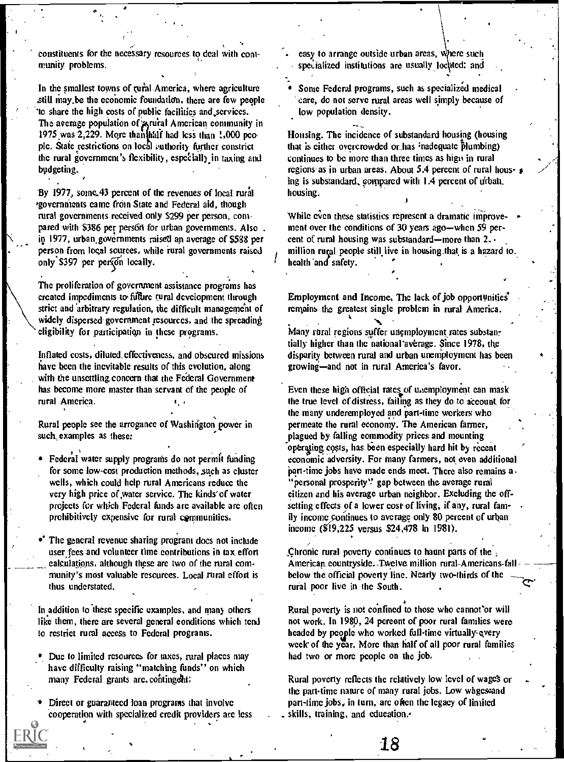constituents for the necessary resources to deal with cow munity problems.

In the smallest towns of rural America, where agriculture still may be the economic foundation, there are few people 'to share the high costs of public facilities and,,services. The average population of *a*yrural American community in 1975 was 2,229. More than Mill had lesi than ;,000 people. State restrictions on local suthority further constrict the rural government's flexibility, especially in taxing and budgeting.

By 1977, some 43 percent of the revenues of local rural 'governments came from State and Federal aid, though rural governments received only \$299 per person, compared with \$386 per pers6n for urban governments. Also. in 1977, urban,govemments raised an average of \$588 per person from local sources, while rural governments raised only \$397 per person locally.

The proliferation of government assistance programs has created impediments to future rural development through strict and 'arbitrary regulation, the difficult managemeiu of widely dispersed government resources, and the spreading eligibility for participation in these programs.

Inflated costs, diluted\_ effectiveness, and obscured missions have been the inevitable results of this evolution, along with the unsettling concern that the Federal Government has become more master than servant of the people of  $\cdot$ .

Rural people sec the arrogance of Washington power in such examples as these:

- . Federal water supply programs do not permit finding for some low-cost production methods, such as cluster wells, which could help rural Americans reduce the very high price of water service. The kinds' of water projects for which Federal funds are available are often prohibitively expensive for rural communities.
- The general revenue sharing program does not include user fees and volunteer time contributions in tax effort calculations, although these are two of the rural community's most valuable resources. Local rural effort is thus understated.

In addition to these specific examples, and many others like them, there are several general conditions which tend to restrict rural access to Federal programs.

- Due to limited resources for taxes, rural places may have difficulty raising "matching funds" on which many Federal grants are, contingent:
- Direct or guaranteed loan programs that involve cooperation with specialized credit providers are less

rt and the second second second second second second second second second second second second second second second second second second second second second second second second second second second second second second s

 $\mathbf{C}$  and  $\mathbf{C}$ 

easy to arrange outside urban areas, where such specialized institutions are usually located; and

Sonic Federal programs, such as specialized medical care, do not serve rural areas well simply because of low population density.

 $\left\langle \cdot \right\rangle$ 

Housing. The incidence of substandard housing (housing that is either overcrowded or, has inadequate plumbing) continues to be more than three times as high in rural regions as in urban areas. About 5.4 percent of rural hous-  $_3$ ing is substandard, compared with 1.4 percent of urbah. housing.

While even these statistics represent a dramatic improvement over the conditions of 30 years ago-when 59 percent of rural housing was substandard—more than  $2.$ million rural people still live in housing that is a hazard to. health and safety.

Employment and Income. The lack of job opportunities° remains the greatest single problem in rural America.

.<br>Many rural regions suffer unemployment rates substantially higher than the national average. Since 1978, the disparity between rural and urban unemployment has been growing-and not in rural America's favor.

Even these high official rates of unemployment can mask the true level of distress, failing as they do to account for the many underemployed and part-time workers who permeate the rural economy. The American farmer, plagued by falling commodity prices and mounting operating costs, has been especially hard hit by recent economic 'adversity. For many farmers, not, even additional part-time jobs have made ends meet. There also remains a. "personal prosperity" gap between the average rural citizen and his average urban neighbor. Excluding the offsetting effects of a lower cost of living, if any, rural family income continues to average only 80 percent of urban income (\$'19,225 versus \$24,478 In 1981).

Chronic rural poverty continues to haunt parts of the American.countryside.-Twelve million rural-Americans-fall below the official poverty line. Nearly two-thirds of the rural poor live in the South.

Rural poverty is not confined to those who cannot'or will not work. In 1980, 24 percent of poor rural families were headed by people who worked full-time virtually-every week of the year. More than half of all poor rural families had two or more people on the job,

Rural poverty reflects the relatively low level of wage's or the part-time nature of many rural jobs. Low whgesoand part-time jobs, in turn, are often the legacy of limited skills, training, and education.-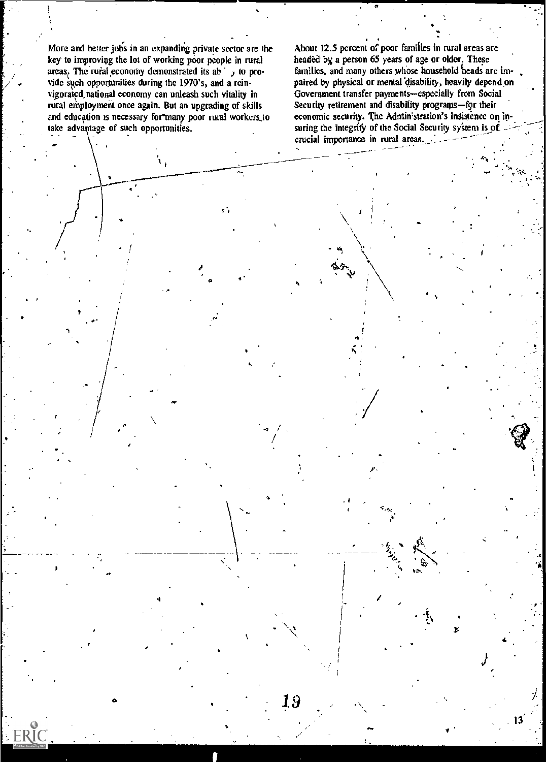More and better jobs in an expanding private sector are the key to improving the lot of working poor people in rural areas. The rural economy demonstrated its ab y to provide such opportunities during the 1970's, and a reinvigorated national economy can unleash such vitality in rural employment once again. But an upgrading of skills and education is necessary for many poor rural workers to take advantage of such opportunities.

 $\mathbf{F}_1$ 

**FRIC** 

 $\hat{\mathbf{r}}$  .

About 12.5 percent of poor families in rural areas are headed by a person 65 years of age or older. These families, and many others whose household heads are impaired by physical or mental disability, heavily depend on Government transfer payments-especially from Social Security retirement and disability programs-for their economic security. The Administration's insistence on insuring the integrity of the Social Security system is of crucial importance in rural areas.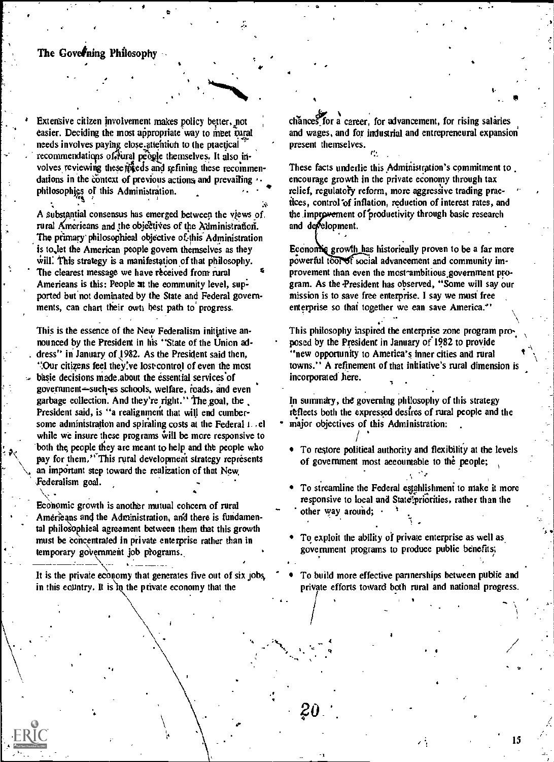#### The Governing Philosophy

Extensive citizen involvement makes policy better, not easier. Deciding the most appropriate way to meet tural needs involves paying close attention to the practical. recommendations of fural people themselves. It also involves reviewing these meets and refining these recommendations in the context of previous actions and prevailing philosophies of this Administration.

A substantial consensus has emerged between the views of. rural Americans and the objectives of the Administration. The primary philosophical objective of this Administration is to let the American people govern themselves as they will. This strategy is a manifestation of that philosophy. The clearest message we have received from rural Americans is this: People at the community level, supported but not dominated by the State and Federal governments, can chart their owth best path to progress.

This is the essence of the New Federalism initiative announced by the President in his "State of the Union address" in January of 1982. As the President said then, "Our citizens feel they've lost control of even the most basic decisions made about the essential services of government-such as schools, welfare, roads, and even garbage collection. And they're right." The goal, the President said, is "a realignment that will end cumbersome administration and spiraling costs at the Federal 1. .el while we insure these programs will be more responsive to both the people they are meant to help and the people who pay for them," This rural development strategy represents an important step toward the realization of that New Federalism goal.

Economic growth is another mutual cohcern of rural Americans and the Administration, and there is fundamental philosophical agreement between them that this growth must be concentrated in private enterprise rather than in temporary government job programs.

It is the private economy that generates five out of six jobs, in this country. It is in the private economy that the

chances for a career, for advancement, for rising salaries and wages, and for industrial and entrepreneural expansion present themselves.

These facts underlie this Administration's commitment to encourage growth in the private economy through tax relief, regulatory reform, more aggressive trading practices, control of inflation, reduction of interest rates, and the improvement of productivity through basic research and development.

Economic growth has historically proven to be a far more powerful tool of social advancement and community improvement than even the most ambitious government program. As the President has observed, "Some will say our mission is to save free enterprise. I say we must free enterprise so that together we can save America."

This philosophy iaspired the enterprise zone program proposed by the President in January of 1982 to provide "new opportunity to America's inner cities and rural towns." A refinement of that initiative's rural dimension is incorporated here.

In summary, the governing philosophy of this strategy reflects both the expressed desires of rural people and the major objectives of this Administration:

- To restore political authority and flexibility at the levels of government most accountable to the people;
- To streamline the Federal establishment to make it more responsive to local and State' priorities, rather than the other way around;
- To exploit the ability of private enterprise as well as government programs to produce public benefits;
- To build more effective partnerships between public and private efforts toward both rural and national progress.

20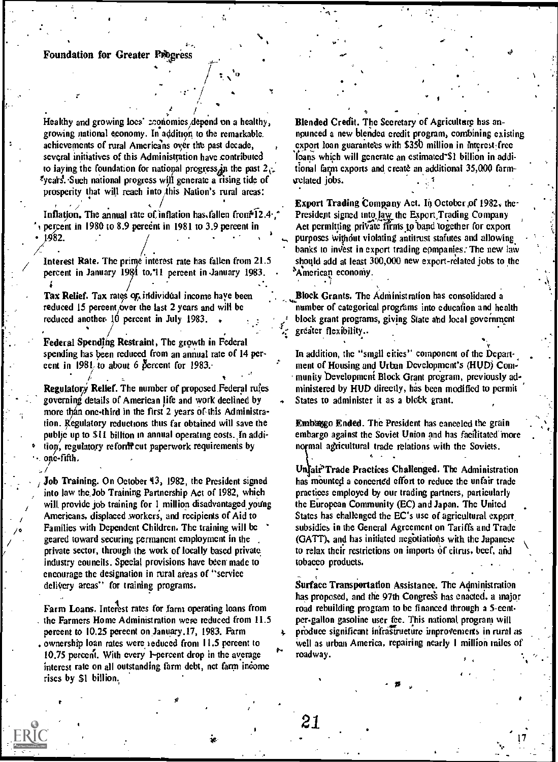#### **Foundation for Greater Progress**

Healthy and growing local economics depend on a healthy, growing national economy. In addition to the remarkable. achievements of rural Americans over the past decade, several initiatives of this Administration have contributed to laying the foundation for national progress, in the past  $2\sigma$ . vears. Such national progress will generate a rising tide of prosperity that will reach into this Nation's rural areas:

Inflation. The annual rate of inflation has fallen from 12.4, percent in 1980 to 8.9 percent in 1981 to 3.9 percent in 1982.

Interest Rate. The prime interest rate has fallen from 21.5 percent in January 1981 to, 11 percent in January 1983.

Tax Relief. Tax rates of individual income have been reduced 15 percent over the last 2 years and will be reduced another 10 percent in July 1983.

Federal Spending Restraint, The growth in Federal spending has been reduced from an annual rate of 14 pereent in 1981 to about 6 percent for 1983.

Regulatory Relief. The number of proposed Federal rules governing details of American life and work declined by more than one-third in the first 2 years of this Administration. Regulatory reductions thus far obtained will save the public up to \$11 billton in annual operating costs. In addition, regulatory reform cut paperwork requirements by one-fifth.

Job Training. On October 43, 1982, the President signed into law the Job Training Partnership Act of 1982, which will provide job training for 1 million disadvantaged young Americans, displaced workers, and recipients of Aid to Families with Dependent Children. The training will be geared toward securing permanent employment in the private sector, through the work of locally based private industry councils. Special provisions have been made to encourage the designation in rural areas of "service" delivery areas'' for training programs.

Farm Loans. Interest rates for farm operating loans from the Farmers Home Administration were reduced from 11.5 percent to 10.25 percent on January 17, 1983. Farm , ownership loan rates were reduced from 11.5 percent to 10.75 percent. With every 1-percent drop in the average interest rate on all outstanding farm debt, net farm income rises by \$1 billion.

Blended Credit. The Secretary of Agriculture has announced a new blended credit program, combining existing export loan guarantees with \$350 million in interest-free loans which will generate an estimated \$1 billion in additional farm exports and create an additional 35,000 farmvelated jobs.

**Export Trading Company Act. In October of 1982, the** President signed into law the Export Trading Company Act permitting private firms to band together for export purposes without violating antitrust statutes and allowing banks to invest in export trading eompanies. The new law should add at least 300,000 new export-related jobs to the American economy.

Block Grants. The Administration has consolidated a number of categorical programs into education and health block grant programs, giving State and local government greater flexibility..

In addition, the "small cities" component of the Department of Housing and Urban Development's (HUD) Community Development Block Grant program, previously administered by HUD directly, has been modified to permit States to administer it as a block grant.

Embasgo Ended. The President has canceled the grain embargo against the Soviet Union and has facilitated more normal agricultural trade relations with the Soviets.

Unfair<sup>5</sup>Trade Practices Challenged. The Administration has mounted a concerted effort to reduce the unfair trade practices employed by our trading partners, particularly the European Community (EC) and Japan. The United States has challenged the EC's use of agricultural export subsidies in the General Agreement on Tariffs and Trade (GATT), and has initiated negotiations with the Japanese to relax their restrictions on imports of citrus, beef, and tobacco products.

Surface Transportation Assistance. The Administration has proposed, and the 97th Congress has enacted, a major road rebuilding program to be financed through a 5-centper-gallon gasoline user fee. This national program will produce significant infrastructure improvements in rural as well as urban America, repairing nearly 1 million miles of roadway.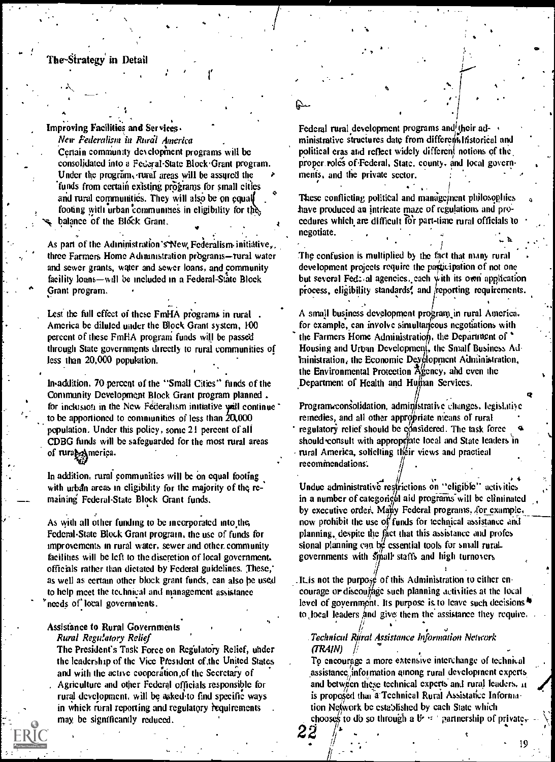#### The-Strategy in Detail

A

Improving Facilities and Services.

New Federalism in Rural America Certain comniumty developinent programs will be consolidated into a Federal-State Block Grant program. Under the program, rural areas will be assured the funds from certain existing programs for small cities and rural communities. They will also be on equal footing with urban communities in eligibility for the balance of the Block Grant.

As part of the Administration's New Federalism initiative, three Farmers Home Administration programs-rural water and sewer grants, water and sewer loans, and community facility loans-will be included in a Federal-State Block Grant program.

Lest the full effect of these FmHA programs in rural America be diluted under the Block Grant system, 100 percent of these FmHA program funds will be passed through State governments directly to rural communities of less than 20,000 population.

lnaddition, 70-percent of the "Small Cities" funds of the Community Development Block Grant program planned . for inclusion in the New Federalism initiative  $y$ ill continue to be apportioned to communities of less than  $20,000$ population. Under this policy, sonic 21 percent of all CDBG funds will be safeguarded for the most rural areas of rurate America.

In addition, rural communities will be on equal footing with urban areas in eligibility for the majority of the remaining' Federal-State Block Grant funds.

As with all other funding to be incorporated into the, Federal-State Block Grant program, the use of funds for improvements in rural water, sewer and other. community facilities will be left to the discretion of local government. officials rather than dictated by Federal guidelines. These, as well as certain other block grant funds, can also he used to help meet the technical and management assistance needs of local governments.

#### Assistance to Rural Governments

Rural Regulatory Relief

The President's Task Force on Regulatory Relief, under the leadership of the Vice President of,the United States and with the active cooperalion,of the Secretary of . Agriculture and other Federal officials responsible for rural development, will be asked to find specific ways in which rural reporting and regulatory requirements may be significantly reduced.

.4

22 ,

,

ii . . . .  $\mathbb{I}$ 

Federal rural development programs and their ad- $\rightarrow$ ministrative structures date from different listorical and political eras and reflect widely different notions of the proper roles of Federal, State, county, and local governments, and the private sector.

iv ....

)  $\sim$ 

l

 $\epsilon$   $\downarrow$  .  $\epsilon$  . . . . .

4

. .

et i

b

4.

a

a series

-,..- ,

. , . <sup>I</sup> These conflicting political and management philosophies have produced an intricate maze of regulations and procedures which are difficult for part-time rural officials to negotiate. . . An arbitrary  $\frac{1}{2}$  ,  $\frac{1}{2}$  ,  $\frac{1}{2}$  ,  $\frac{1}{2}$  ,  $\frac{1}{2}$  ,  $\frac{1}{2}$  ,  $\frac{1}{2}$  ,  $\frac{1}{2}$ 

The confusion is multiplied by the fact that many rural development projects require the participation of not one but several Fed:, al agencies, each with its own application process, eligibility standards, and reporting requirements.

A small business development program in rural America. for example, can involve simultaneous negotiations with the Farmers Home Administration, the Department of  $\dot{\phantom{a}}$ Housing and Urban Developmen(, the Small Business Ad- $\text{min}$  initiation, the Economic Dey $\emptyset$  by propert Administration, the Environmental Protection  $\lambda_{\text{gen}}^{\prime\prime}$  and even the Department of Health and Human Services.

Program consolidation, administrative changes, legislative remedies, and all other appropriate means of rural regulatory relief should be considered. The task force should consult with appropriate local and State leaders in rural America, soliciting their views and practical recommendations: , .

Undue administrative restrictions on "eligible" activities  $\ddot{\hspace{1cm}}$ in a number of categon 61 aid programs will be eliminated by executive order, Many Federal programs, for example, now prohibit the use of funds for technical assistance and planning, despite the fact that this assistance and profes sional planning can be essential tools for small ruralgovernments with small staffs and high turnovers

. It is not the purpose of this Administration to either encourage or discoufage such planning activities at the local level of government. Its purpose is to leave such decisions  $\ddot{\bullet}$ to local leaders And give them the assistance they require.

. Technicul R $\stackrel{\text{{\small int}}}{\text{{\small int}}}$ nal Assistance Information Network (TRAIN)

To encourage a more extensive interchange of technical assistance information among rural development experts and between these technical experts and rural leaders, it is proposed that a Technical Rural Assistance Information Network be established by each State which chooses to db so through a B<sup>2</sup>  $\cdot$  -  $\cdot$  partnership of private,-

19

 $\mathcal{F} = \mathcal{N}$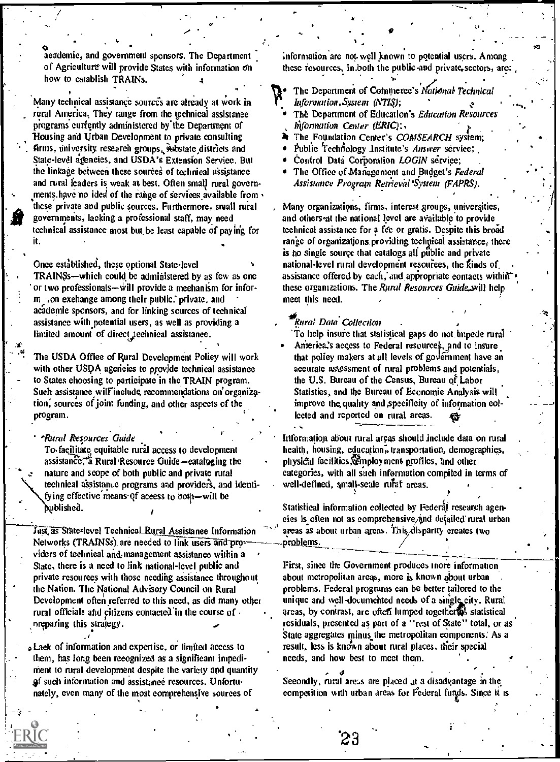aeademie, and government sponsors. The Department of Agriculture will provide States with information on how to establish TRAINs.

Many technical assistance sources are already at work in rural America. They range from the technical assistance programs currently administered by the Department of Housing and Urban Development to private consulting firms, university research groups, substate districts and State-level agencies, and USDA's Extension Service. But the linkage between these sources of technical assistance and rural leaders is weak at best. Often small rural governments have no idea of the range of services available from these private and public sources. Furthermore, small rural governments, lacking a professional staff, may need technical assistance most but be least capable of paying for it.

Once established, these optional State-level TRAINSs—which could be administered by as few as one or two professionals—will provide a meehanism for inform. .on exchange among their public. private, and academie sponsors, and for linking sources of technical assistance with potential users, as well as providing a limited amount of direct technical assistance.

The USDA Office of Rural Development Policy will work with other USDA agencies to provide technical assistance to States choosing to participate in the TRAIN program. Such assistance will include recommendations on organization, sources of joint funding, and other aspects of the program.

\*Rural Resources Guide To facilitate equitable rural access to development

assistance, a Rural Resource Guide-cataloging the nature and scope of both public and private rural technical assistance programs and providers, and identifying effective means of access to both-will be dublished.

Just as State-level Technical Rural Assistance Information Networks (TRAINSs) are needed to link users and providers of technical and management assistance within a State, there is a need to link national-level public and private resources with those needing assistance throughout the Nation. The National Advisory Council on Rural Development often referred to this need, as did many other rural officials and citizens contacted in the course of nreparing this strategy.

Lack of information and expertise, or limited access to them, has long been recognized as a significant impediment to rural development despite the variety and quantity of such information and assistance resources. Unfortunately, even many of the most comprehensive sources of

information are not well known to potential users. Among these resources, in both the public and private sectors, are:

The Department of Commerce's National Technical Information, System (NTIS);

- The Department of Education's Education Resources hiformation Center (ERIC);
- The Foundation Center's COMSEARCH system:
- Publie Technology Institute's Answer service;
- Control Data Corporation LOGIN service;
- The Office of Management and Budget's Federal Assistance Program Retrieval System (FAPRS).

Many organizations, firms, interest groups, universities, and others at the national level are available to provide technical assistance for a fee or gratis. Despite this broad range of organizations providing technical assistance, there is no single source that eatalogs all public and private national-level rural development resources, the kinds of assistance offered by each, and appropriate contacts within these organizations. The Rural Resources Guide, will help meet this need.

#### Rural Data Collection

To help insure that statistical gaps do not impede rural America's access to Federal resources, and to insure that policy makers at all levels of government have an accurate assessment of rural problems and potentials, the U.S. Bureau of the Census, Bureau of Labor Statisties, and the Bureau of Economie Analysis will improve the quality and specificity of information collected and reported on rural areas.

Information about rural areas should include data on rural health, housing, education, transportation, demographies, physical facilities, comployment profiles, and other categories, with all such information compiled in terms of well-defined, small-scale rufaf areas.

Statistical information collected by Federal research ageneies is often not as comprehensive and detailed rural urban areas as about urban areas. This, disparity creates two problems.

First, since the Government produces more information about metropolitan areas, more is known about urban problems. Federal programs can be better tailored to the unique and well-documented needs of a single city. Rural areas, by contrast, are often lumped togetherras statistical residuals, presented as part of a "rest of State" total, or as State aggregates minus the metropolitan components. As a result, less is known about rural places, their special needs, and how best to meet them.

Secondly, rural areas are placed at a disadvantage in the competition with urban areas for Federal funds. Since it is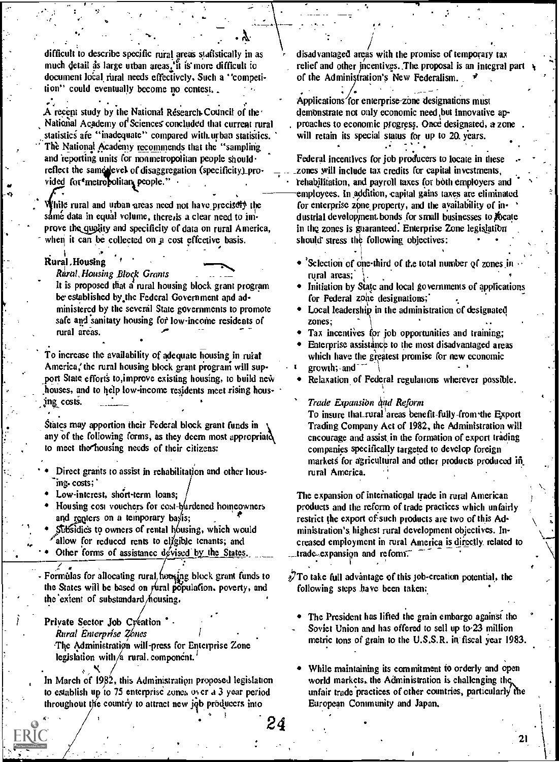difficult to describe specific rural areas statistically in as much detail as large urban areas, it is more difficult to document local rural needs effectively. Such a "competition" could eventually become no contest,.

A recent study by the National Research Council of the National Academy of Sciences concluded that current rural statistics are "inadequate" compared with urban statistics. The National Academy recommends that the "sampling and reporting units for nonmetropolitan people should. reflect the same level of disaggregation (specificity) pro vided for metropolitan people."

While rural and urban areas need not have precisely the sámé data in equal volume, there, is a clear need to improve the quality and specificity of data on rural America, when it can be collected on a cost effective basis.

Rural Housing

Rural Housing Block Grants

It is proposed that a rural housing block grant program be established by the Federal Government and administered by the several State governments to promote safe and sanitaty housing for low-income residents of rural areas.

To increase the availability of adequate housing in rural America, the rural housing block grant program will support State efforts to improve existing housing, to build new houses, and to help low-income residents meet rising housing costs.

States may apportion their Federal block grant funds in any of the following forms, as they deem most appropriated to meet the housing needs of their citizens:

- Direct grants to assist in rehabilitation and other housing. costs;
- Low-interest, short-term loans;

Housing cost vouchers for cost-burdened homeowners and renters on a temporary basis;

Subsidies to owners of rental housing, which would allow for reduced rents to eligible tenants; and

Other forms of assistance devised by the States

Formulas for allocating rural heusing block grant funds to the States will be based on rural population, poverty, and the extent of substandard housing.

Private Sector Job Cyeation .

Rural Enterprise Zones The Administration will-press for Enterprise Zone legislation with /a rural component.

In March of 1982, this Administration proposed legislation to establish up to 75 enterprise zones over a 3 year period throughout the country to attract new job producers into

disadvantaged areas with the promise of temporary tax relief and other incentives. The proposal is an integral part of the Administration's New Federalism.

Applications for enterprise zone designations must demonstrate not only economic need but innovative approaches to economic progress. Once designated, a zone will retain its special status for up to 20 years.

Federal incentives for job producers to locate in these zones will include tax credits for capital investments, rehabilitation, and payroll taxes for both employers and employees. In addition, capital gains taxes are eliminated for enterprise zone property, and the availability of industrial development bonds for small businesses to locate in the zones is guaranteed. Enterprise Zone legislation should stress the following objectives:

- Selection of one-third of the total number of zones in rural areas:
- Initiation by State and local governments of applications for Federal zone designations;
- Local leadership in the administration of designated zones:
- Tax incentives for job opportunities and training;
- Enterprise assistance to the most disadvantaged areas which have the greatest promise for new economic  $growth$ ; and

Relaxation of Federal regulations wherever possible.

Trade Expansion and Reform

To insure that rural areas benefit-fully-from the Export Trading Company Act of 1982, the Administration will encourage and assist in the formation of export trading companies specifically targeted to develop foreign markets for agricultural and other products produced in rural America.

The expansion of international trade in rural American products and the reform of trade practices which unfairly restrict the export of such products are two of this Administration's highest rural development objectives. Increased employment in rural America is directly related to trade expansion and reform.

 $\sqrt{2}$ To take full advantage of this job-creation potential, the following steps have been taken:

- The President has lifted the grain embargo against the Soviet Union and has offered to sell up to 23 million metric tons of grain to the U.S.S.R. in fiscal year 1983
- While maintaining its commitment to orderly and open world markets, the Administration is challenging the unfair trade practices of other countries, particularly the European Community and Japan,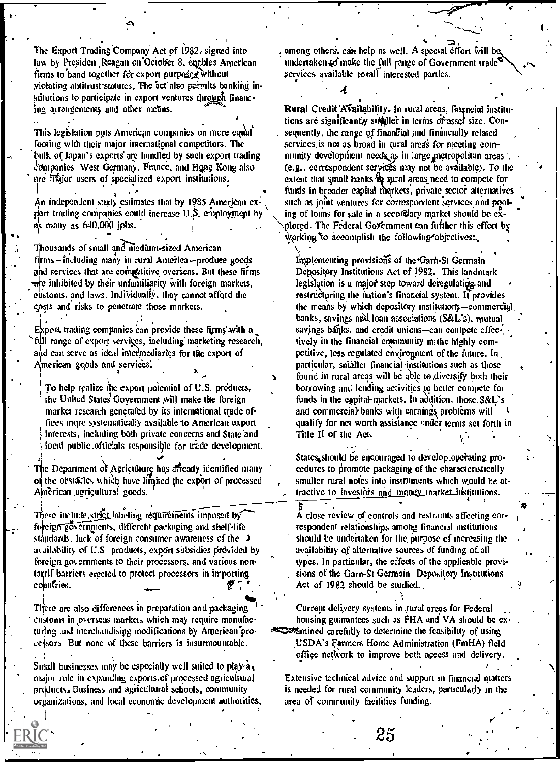The Export Trading Company Act of 1982, signed into law by Presiden Reagan on October 8, enables American firms to band together for export purposed without violating antitrust statutes. The act also permits banking institutions to participate in export ventures through financing arrangements and other means.

This legislation puts American companies on more equal footing with their major international competitors. The bulk of Japan's exports are handled by such export trading companies West Germany, France, and Hong Kong also are illajor users of specialized export institutions.

An independent study estimates that by 1985 American export trading companies could increase U.S. employment by as many as 640,000 jobs.

Thousands of small and niedium-sized American firms-including many in rural America--produce goods and services that are competitive overseas. But these firms wre inhibited by their unfamiliarity with foreign markets, eustoms, and laws. Individually, they cannot afford the costs and risks to penetrate those markets.

Export trading companies can provide these firms with a full range of export services, including marketing research, and can serve as ideal intermediaries for the export of American goods and services.

To help realize the export potential of U.S. products, the United States Government will make the foreign market research generated by its international trade offices more systematically available to American export interests, including both private concerns and State and local public officials responsible for trade development.

The Department of Agriculture has affeady identified many of the obstacles which have limited the export of processed American agricultural goods.

These include strict labeling requirements imposed by foreign governments, different packaging and shelf-life standards. lack of foreign consumer awareness of the  $\rightarrow$ availability of U.S products, export subsidies provided by foreign governments to their processors, and various nontarrif barriers erected to protect processors in importing countries.

There are also differences in preparation and packaging custonis in overseas markets which may require manufacturing and merchandising modifications by American processors But none of these barriers is insurmountable.

Small businesses may be especially well suited to play  $a_{\mathbf{x}}$ major role in expanding exports of processed agricultural products. Business and agricultural schools, community organizations, and local economic development authorities, , among others, can help as well. A special effort will be undertaken to make the full range of Government trade<sup>t</sup> services available totall interested parties.

Rural Credit Availability, In rural areas, financial institutions are significantly stigiller in terms of asset size. Consequently, the range of financial and financially related services is not as broad in tural areas for meeting community development needs as in large metropolitan areas (e.g., correspondent services may not be available). To the extent that small banks he sural areas need to compete for funds in broader capital morkets, private sector alternatives such as joint ventures for correspondent services and pooling of loans for sale in a secondary market should be explored. The Federal Government can further this effort by working to accomplish the following objectives...

Implementing provisions of the Garn-St Germain Depository Institutions Act of 1982. This landmark legislation is a major step toward deregulating and restructuring the nation's financial system. If provides the means by which depository institutions-commercial banks, savings and loan associations (S&L's), mutual savings banks, and eredit unions-ean contpete effectively in the financial equamunity in the highly competitive, less regulated environment of the future. In particular, smaller financial institutions such as those found in rural areas will be able to diversify both their borrowing and lending activities to better compete for funds in the eapital-markets. In addition, those S&L's and commercial banks with carnings problems will qualify for net worth assistance under terms set forth in Title II of the Act.

States should be encouraged to develop operating proeedures to promote packaging of the characteristically smaller rural notes into instruments which would be attractive to investors and money inarket institutions

A close review of controls and restraints affecting correspondent relationships among financial institutions should be undertaken for the purpose of increasing the availability of alternative sources of funding of all types. In particular, the effects of the applicable provisions of the Garn-St Germain Depository Institutions Act of 1982 should be studied.

Current delivery systems in rural areas for Federal housing guarantees such as FHA and VA should be ex-**Examined carefully to determine the feasibility of using** USDA's Farmers Home Administration (FmHA) field office network to improve both access and delivery.

Extensive technical advice and support in financial matters is needed for rural community leaders, particularly in the area of community facilities funding.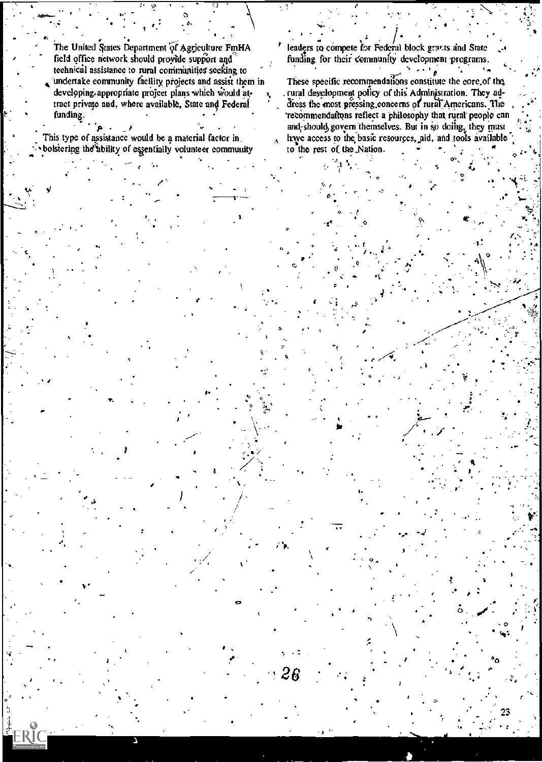The United States Department of Agriculture FmHA field office network should provide support and technical assistance to rural communities seeking to undertake community facility projects and assist them in developing appropriate project plans which would attract private and, where available, State and Federal funding.

ī,

This type of assistance would be a material factor in bolstering the ability of essentially volunteer community leaders to compete for Federal block grants and State funding for their community development programs.

These specific recommendations constitute the core of the . rural development policy of this Administration. They address the most pressing concerns of rural Americans. The recommendations reflect a philosophy that rural people can and should govern themselves. But in so doing, they must have access to the basic resources, aid, and tools available to the rest of the Nation.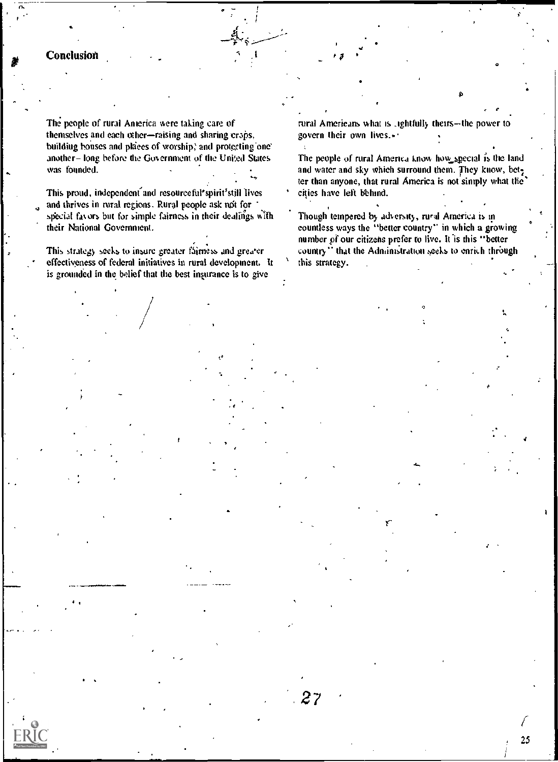#### Conclusion

The people of rural America were taking care of themselves and each other-raising and sharing crops, building bouses and places of worship, and protecting one another-long before the Government of the United States was founded.

This proud, independent and resourceful'spirit'still lives and thrives in rural regions. Rural people ask not for special favors but for simple fairness in their dealings with their National Government.

This strategy seeks to insure greater fairness and greater effectiveness of federal initiatives in rural development. It is grounded in the belief that the best insurance is to give

rural Americans what is rightfully theirs-the power to govern their own lives.»

The people of rural America know how special is the land and water and sky which surround them. They know, better than anyone, that rural America is not simply what the cities have left behind.

Though tempered by adversity, rural America is incountless ways the "better country" in which a growing number of our citizens prefer to live. It is this "better country." that the Administration seeks to enrich through this strategy.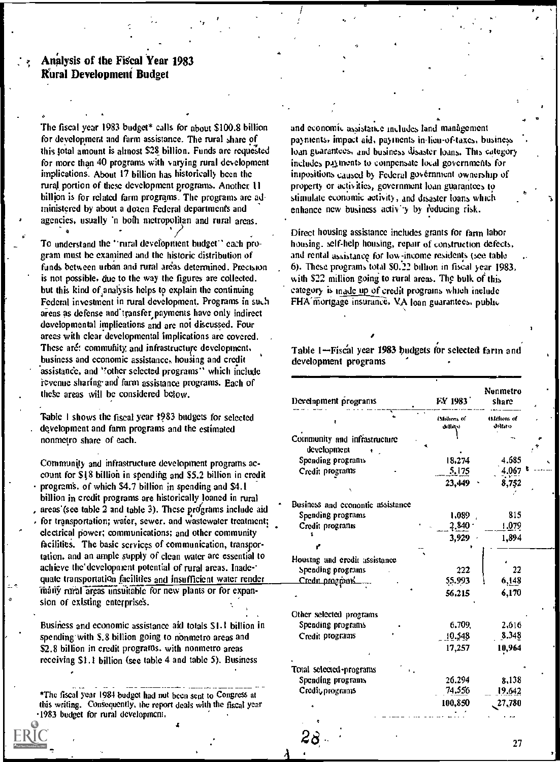#### Analysis of the Fiscal Year 1983 Mural Development Budget

The fiscal year 1983 budget\* calls for about \$100.8 billion for development and farm assistance. The rural share of this total amount is almost \$28 billion. Funds are requested for more than 40 programs with varying rural development implications. About 17 billion has historically been the rural portion of these development programs. Another 11 billion is for related farm programs. The programs are administered by about a dozen Federal departments and agencies, usually 'n both metropolitan and rural areas.

 $\mathbf{y} \in C_{\mathbf{y}}$ 

To understand the "rural development budget" each program must be examined and the historic distribution of funds between urban and rural areas determined. Precision is not possible, due to the way the figures are collected. but this kind of,analysis helps to explain the continuing Federal investment in rural development. Programs in such areas as defense and transfer payments have only indirect developmental implications and are not discussed. Four areas with clear developmental implications are covered. These aré: community and infrastructure development, business and economic assistance, housing and credit assistance, and ''other selected programs'' which include revenue sharing and farm assistance programs. Each of these areas will be considered below.

'Fable 1 shows the fiscal year 1983 budgets for selected . development and farm programs and the estimated nonmetro share of each.

Community and infrastructure development programs account for \$18 billioh in spending and \$5.2 billion in credit program's. of which \$4.7 billion in spending and \$4.1 billion in credit programs are historically loaned in rural areas' (see table 2 and table 3). These programs include aid for transportation; water, sewer, and wastewater treatment; electrical power; communications; and other community facilities. The basic services of communication, transportation, and an ample supply of clean water are essential to achieve the'development potential of rural areas. Inade-' quate transportation facilities and insufficient water render many rural areas unsuitable for new plants or for expansion of existing enterprises.

Business and economic assistance aid totals \$1.1 billion in spending with \$.8 billion going to nonmetro areas and \$2.8 billion in credit programs, with nonmetro areas receiving \$1.1 billion (see table 4 and table 5). Business

\_ \_ ..... \*The fiscal year 1984 budget had not been sent to Congress at this writing. Consequently, the report deals with the fiscal year .1983 budget for rural development.

and economic assistance includes land management payments, impact aid, payments in-lieu-of-taxes, business . loan gbarantees, and business disaster loans. This category includes payments to compensate local governments for impositions caused by Federal government ownership of property or activities, government loan guarantees to stimulate economic activity, and disaster loans which enhance new business activity by reducing risk.

. .

Direct housing assistance includes grants for farm labor housing. self-help housing, repair of construction defects, and rental assistance for low-income residents (see table 6). These programs total \$0.22 billion in fiscal year 1983, with \$22 million going to rural areas. The bulk of this category is made up of credit progratns which include FHA mortgage insurance, VA loan guarantees, public

Table 1-Fiscal year 1983 budgets for selected farm and development programs

| Develnpment programs             | FY 1983                | Nunmetro<br>share        |  |
|----------------------------------|------------------------|--------------------------|--|
|                                  | (Millions of<br>نحتالص | (Millions of<br>dolfats) |  |
| Community and infrastructure     |                        |                          |  |
| development                      |                        |                          |  |
| Spending programs                | 18,274                 | 4.685                    |  |
| Credit programs                  | 5,175                  | 4.067                    |  |
|                                  | 23,449                 | 8,752                    |  |
| Business and economic assistance |                        |                          |  |
| Spending programs                | 1.089                  | 815                      |  |
| Credit programs                  | 2.840                  | 1.079                    |  |
|                                  | 3,929                  | 1,894                    |  |
|                                  |                        |                          |  |
| Housing and credit assistance    |                        |                          |  |
| Spending programs                | 222                    | 22                       |  |
| Credit programs.                 | 55.993                 | 6,148                    |  |
|                                  | 56.215                 | 6,170                    |  |
| Other selected programs          |                        |                          |  |
| Spending programs                | 6,709.                 | 2,616                    |  |
| Credit programs                  | 10.548                 | 8.348                    |  |
|                                  | 17,257                 | 10,964                   |  |
| Total selected-programs          |                        |                          |  |
| Spending programs                | 26.294                 | 8,138                    |  |
| Credit, programs                 | 74.556                 | 19.642                   |  |
|                                  | 100,850                | 27,780                   |  |

 $28:27$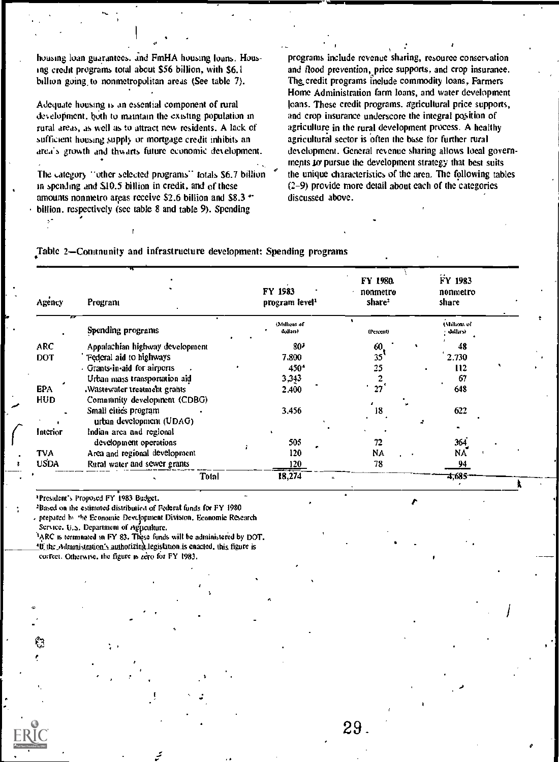housing loan guarantees. and FmHA housing loans. Housing credit programs total about \$56 billion, with \$6.1 billion going to nonmetropolitan areas (See table 7).

Adequate housing is an essential component of rural development, both to maintain the existing population in rural areas, as well as to attract new residents. A lack of sufficient housing supply or mortgage credit inhibits an area's growth and thwarts future economic development.

The category "other selected programs" totals \$6.7 billion in spending and 510.5 billion in credit, and of these amounts nonmetro areas receive \$2.6 billion and \$8.3  $+$ billion, respectively (see table 8 and table 9). Spending

programs include revenue sharing, resource conservation and flood prevention, price supports, and crop insurance. The credit programs include commodity loans, Farmers Home Administration farm loans, and water development loans. These credit programs. agricultural price supports, and crop insurance underscore the integral pojition of agriculture in the rural development process. A healthy agricultural sector is often the base for further rural development. General revenue sharing allows local governiments to pursue the development strategy that best suits the unique characteristics of the area. The following tables (2-9) provide more detail about each of the categories discussed above.

Table 2-Community and infrastructure development: Spending programs

| Agency      | Program                                          | FY 1983<br>program level <sup>1</sup> | FY 1980.<br>nonmetro<br>share <sup>2</sup> | FY 1983<br>nonmetro<br>share     |  |
|-------------|--------------------------------------------------|---------------------------------------|--------------------------------------------|----------------------------------|--|
|             | Spending programs                                | (Million) of<br>uoila(s)              | (Percent)                                  | <b>Cylullions</b> of<br>dollars) |  |
| ARC         | Appalachian highway development                  | 80 <sup>2</sup>                       | 60.                                        | 48                               |  |
| <b>DOT</b>  | Federal aid to highways                          | 7,800                                 | 35 <sup>°</sup>                            | 2.730                            |  |
|             | - Grants-in-aid for airports                     | 450 <sup>4</sup>                      | 25                                         | 112                              |  |
|             | Urban mass transportation aid                    | 3,343                                 |                                            | 67                               |  |
| <b>EPA</b>  | Wastewater treatment grants.                     | 2.400                                 | 27                                         | 648                              |  |
| HUD         | Community development (CDBG)                     |                                       |                                            |                                  |  |
|             | Small cities program<br>urban development (UDAG) | 3.456                                 | 18                                         | 622                              |  |
| Interior    | Indian area and regional                         |                                       |                                            |                                  |  |
|             | development operations                           | 505                                   | 72                                         | 364                              |  |
| <b>TVA</b>  | Area and regional development                    | 120                                   | NA                                         | N٨                               |  |
| <b>USDA</b> | Rural water and sewer grants                     | <u>120</u>                            | 78                                         | 94                               |  |
|             | Total                                            | 18,274                                |                                            | 4,685                            |  |

'President's Proposed FY 1983 Budget.

<sup>2</sup>Based on the estimated distributied of Federal funds for FY 1980 prepared h' 'he Economic Detdoopment Division, Economic Research

Service. U.S. Department of Agficulture.

SO

V ERIC

<sup>1</sup>ARC is terminated in FY 83. These funds will be administered by DOT.  $10$  the Adramistration's authorizing legislation is enacted, this figure is correct. Otherwise, the figure is zero for FY 1983.

29.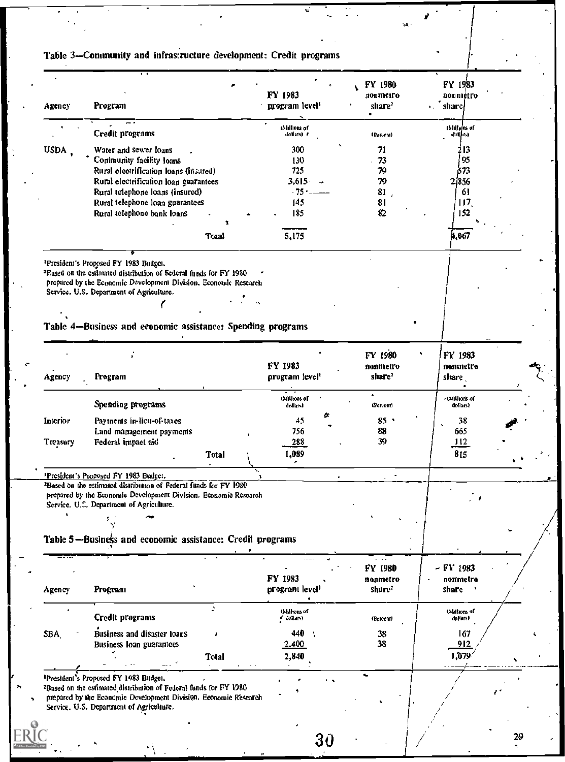| Agency      | Program                                                                                                                                                                                                                                            |       | FY 1983<br>program level <sup>1</sup> | FY 1980<br>nonmeiro<br>share <sup>2</sup> | FY 1983<br>nonnietro<br>share! |
|-------------|----------------------------------------------------------------------------------------------------------------------------------------------------------------------------------------------------------------------------------------------------|-------|---------------------------------------|-------------------------------------------|--------------------------------|
|             | Credit programs                                                                                                                                                                                                                                    |       | tMullions of<br>dollats) *            | (Percent)                                 | (Mallinius of<br>dollard       |
| <b>USDA</b> | Water and sewer loans                                                                                                                                                                                                                              |       | 300                                   | 71                                        | 213                            |
|             | Conimunity facility loans                                                                                                                                                                                                                          |       | 130                                   | 73                                        | 95                             |
|             | Rural electrification loans (insured)                                                                                                                                                                                                              |       | 725                                   | 79                                        | 673                            |
|             | Rural electrification loan guarantees                                                                                                                                                                                                              |       | 3,615                                 | 79                                        | 2,856                          |
|             | Rural telephone loans (insured)<br>Rural telephone loan guarantees                                                                                                                                                                                 |       | $-75 -$<br>145                        | 81,<br>81                                 | 61<br>117                      |
|             | Rural telephone bank loans                                                                                                                                                                                                                         |       | 185                                   | 82                                        | 152                            |
|             |                                                                                                                                                                                                                                                    |       |                                       |                                           |                                |
|             |                                                                                                                                                                                                                                                    | Total | 5,175                                 |                                           | 4,067                          |
|             |                                                                                                                                                                                                                                                    |       |                                       |                                           |                                |
|             | <sup>1</sup> President's Proposed FY 1983 Budget.<br><sup>2</sup> Based on the estimated distribution of Federal funds for FY 1980<br>prepared by the Economic Development Division, Economic Research<br>Service. U.S. Department of Agriculture. |       |                                       |                                           |                                |
|             |                                                                                                                                                                                                                                                    |       |                                       |                                           |                                |
|             |                                                                                                                                                                                                                                                    |       |                                       |                                           |                                |
|             | Table 4--Business and economic assistance: Spending programs                                                                                                                                                                                       |       |                                       |                                           |                                |
|             |                                                                                                                                                                                                                                                    |       |                                       | FY 1980                                   | FY 1983                        |
|             |                                                                                                                                                                                                                                                    |       | FY 1983                               | nonmetro                                  | nonmetro                       |
| Agency      | Program                                                                                                                                                                                                                                            |       | program level <sup>1</sup>            | share <sup>2</sup>                        | share J                        |
|             | Spending programs                                                                                                                                                                                                                                  |       | (Millions of<br>dollard               | (Pearent)                                 | - (Millions of<br>dollars)     |
| Interior    | Payments in-licu-of-taxes                                                                                                                                                                                                                          |       | 45                                    | 85                                        | 38                             |
|             | Land management payments                                                                                                                                                                                                                           |       | 756                                   | 88                                        | 665                            |
| Treasury    | Federal impact aid                                                                                                                                                                                                                                 | Total | 288<br>1,089                          | 39                                        | 112<br>815                     |
|             |                                                                                                                                                                                                                                                    |       |                                       |                                           |                                |
|             | President's Proposed FY 1983 Budget.<br><sup>2</sup> Based on the estimated distribution of Federal funds for FY 1980<br>prepared by the Economic Development Division. Economic Research<br>Service, U.C. Department of Agriculture.              |       |                                       |                                           | ٠                              |
|             |                                                                                                                                                                                                                                                    |       |                                       |                                           |                                |
|             | Table 5-Business and economic assistance: Credit programs                                                                                                                                                                                          |       |                                       |                                           |                                |
|             |                                                                                                                                                                                                                                                    |       |                                       | FY 1980                                   | $-$ FY 1983                    |
|             |                                                                                                                                                                                                                                                    |       | FY 1983                               | nonmetro                                  | nonmetro                       |
| Agency      | Program                                                                                                                                                                                                                                            |       | program level                         | share <sup>2</sup>                        | share                          |
|             | <b>Credit programs</b>                                                                                                                                                                                                                             | A     | (Millions of<br>$\sim$ collars)       | (Percent)                                 | (Millions of<br>dolfars)       |
| SBA         | Business and disaster loans                                                                                                                                                                                                                        |       | 440                                   | 38                                        | 167                            |
|             | <b>Business loan guarantees</b>                                                                                                                                                                                                                    |       | 2.400                                 | 38                                        | 912                            |
|             |                                                                                                                                                                                                                                                    | Total | 2,840                                 |                                           | 1,079                          |
|             | <sup>1</sup> President's Proposed FY 1983 Budget.                                                                                                                                                                                                  |       |                                       |                                           |                                |
|             | <sup>2</sup> Based on the estimated distribution of Federal funds for FY 1980                                                                                                                                                                      |       |                                       |                                           |                                |
|             | prepared by the Economic Development Division, Economic Research                                                                                                                                                                                   |       |                                       |                                           |                                |

ĸ,

 $\mathcal{L}_{\mathrm{c}}$  .

¥,

٠Ä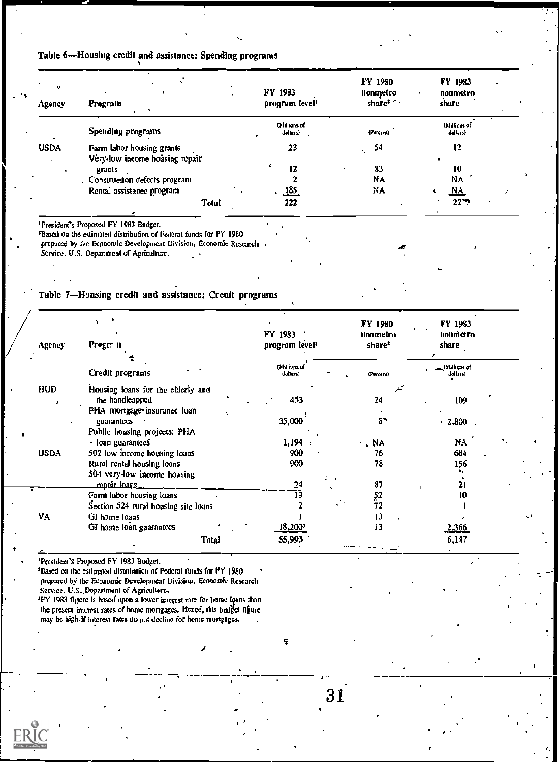### Table 6-Housing credit and assistance: Spending programs

| Agency      | Program                                                                                                                                                                                                  | FY 1983<br>program level <sup>1</sup> | <b>FY 1980</b><br>nonmetro<br>share <sup>2</sup> | FY 1983<br>nonmetro<br>share |
|-------------|----------------------------------------------------------------------------------------------------------------------------------------------------------------------------------------------------------|---------------------------------------|--------------------------------------------------|------------------------------|
|             | Spending programs                                                                                                                                                                                        | (Millions of<br>dollars)              | (Percent)                                        | tMillions of<br>dollars)     |
| <b>USDA</b> | Farm labor housing grants                                                                                                                                                                                | 23                                    | 54                                               | 12                           |
|             | Very-low income housing repair                                                                                                                                                                           | ¢                                     |                                                  |                              |
|             | grants                                                                                                                                                                                                   | 12                                    | 83                                               | 10                           |
|             | . Construction defects program                                                                                                                                                                           |                                       | NA                                               | NA                           |
|             | Rental assistance program                                                                                                                                                                                | 185                                   | NA                                               | NA                           |
|             | Total                                                                                                                                                                                                    | 222                                   |                                                  | $22$ $\div$                  |
|             | <sup>1</sup> President's Proposed FY 1983 Budget.<br><sup>2</sup> Based on the estimated distribution of Federal funds for FY 1980<br>prepared by the Economic Development Division, Economic Research . |                                       |                                                  | х                            |

Table 7-Housing credit and assistance: Credit programs

| Agency      | Progr: n                             | FY 1983<br>program level <sup>1</sup> | FY 1980<br>nonmetro<br>share <sup>2</sup> | FY 1983<br>nonmetro<br>share |  |
|-------------|--------------------------------------|---------------------------------------|-------------------------------------------|------------------------------|--|
|             | Credit programs                      | (Millions of<br>dollars)              | (Percent)                                 | _(Millions of<br>dollars)    |  |
| <b>HUD</b>  | Housing loans for the elderly and    |                                       | F                                         |                              |  |
|             | ¥.<br>the handicapped                | 453                                   | 24                                        | 109                          |  |
|             | FHA mortgage insurance loan          |                                       |                                           |                              |  |
|             | guarantees                           | 35,000                                | 87                                        | $-2,800$                     |  |
|             | Public housing projects: PHA         |                                       |                                           |                              |  |
|             | - loan guarantees                    | 1,194                                 | . NA                                      | NA                           |  |
| <b>USDA</b> | 502 low income housing loans         | 900<br>$\lambda$                      | 76                                        | 684                          |  |
|             | Rural rental housing loans           | 900                                   | 78                                        | 156                          |  |
|             | 504 very-low income housing          |                                       |                                           |                              |  |
|             | <u>repair Ioans</u>                  | 24<br>$\mathbf{r}$                    | 87                                        | 21                           |  |
|             | Farm labor housing loans             | 19                                    | $\frac{52}{72}$                           | 10                           |  |
|             | Section 524 rural housing site loans |                                       |                                           |                              |  |
| VA          | GI home loans                        |                                       | 13                                        |                              |  |
|             | GI home loan guarantees              | 18,200'                               | 13                                        | 2.366                        |  |
|             | Total                                | 55,993                                |                                           | 6,147                        |  |
|             |                                      |                                       |                                           |                              |  |

<sup>1</sup>President's Proposed FY 1983 Budget.

<sup>2</sup>Based on the estimated distribution of Federal funds for FY 1980 prepared by the Economic Development Division, Economic Research Service. U.S. Department of Agriculture.

<sup>3</sup>FY 1983 figure is based upon a lower interest rate for home loans than the present interest rates of home mortgages. Hence, this budget figure may be high-if interest rates do not decline for home mortgages.

ę

 $31^{1}$